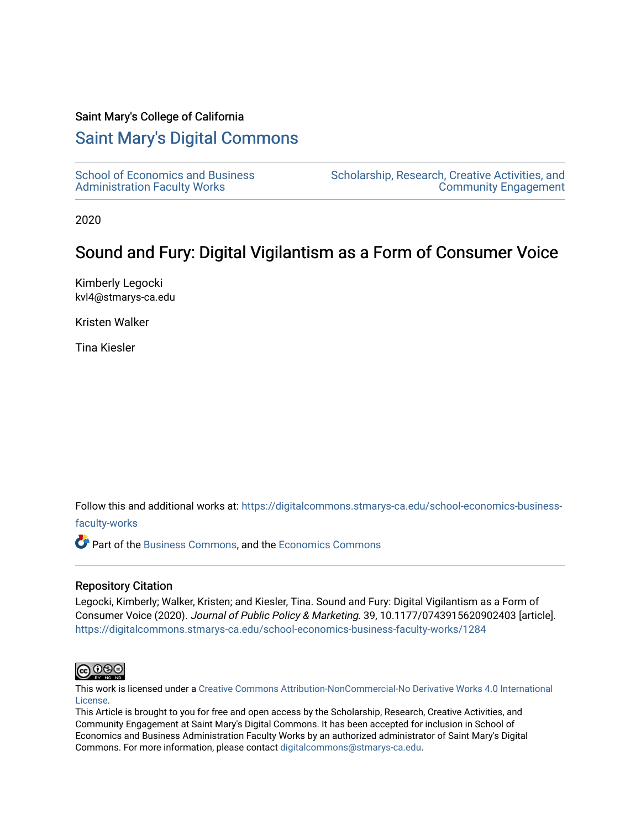## Saint Mary's College of California

## [Saint Mary's Digital Commons](https://digitalcommons.stmarys-ca.edu/)

| <b>School of Economics and Business</b> |  |
|-----------------------------------------|--|
| <b>Administration Faculty Works</b>     |  |

[Scholarship, Research, Creative Activities, and](https://digitalcommons.stmarys-ca.edu/scholarship-research-community)  [Community Engagement](https://digitalcommons.stmarys-ca.edu/scholarship-research-community) 

2020

# Sound and Fury: Digital Vigilantism as a Form of Consumer Voice

Kimberly Legocki kvl4@stmarys-ca.edu

Kristen Walker

Tina Kiesler

Follow this and additional works at: [https://digitalcommons.stmarys-ca.edu/school-economics-business-](https://digitalcommons.stmarys-ca.edu/school-economics-business-faculty-works?utm_source=digitalcommons.stmarys-ca.edu%2Fschool-economics-business-faculty-works%2F1284&utm_medium=PDF&utm_campaign=PDFCoverPages)

## [faculty-works](https://digitalcommons.stmarys-ca.edu/school-economics-business-faculty-works?utm_source=digitalcommons.stmarys-ca.edu%2Fschool-economics-business-faculty-works%2F1284&utm_medium=PDF&utm_campaign=PDFCoverPages)

Part of the [Business Commons](http://network.bepress.com/hgg/discipline/622?utm_source=digitalcommons.stmarys-ca.edu%2Fschool-economics-business-faculty-works%2F1284&utm_medium=PDF&utm_campaign=PDFCoverPages), and the [Economics Commons](http://network.bepress.com/hgg/discipline/340?utm_source=digitalcommons.stmarys-ca.edu%2Fschool-economics-business-faculty-works%2F1284&utm_medium=PDF&utm_campaign=PDFCoverPages)

## Repository Citation

Legocki, Kimberly; Walker, Kristen; and Kiesler, Tina. Sound and Fury: Digital Vigilantism as a Form of Consumer Voice (2020). Journal of Public Policy & Marketing. 39, 10.1177/0743915620902403 [article]. [https://digitalcommons.stmarys-ca.edu/school-economics-business-faculty-works/1284](https://digitalcommons.stmarys-ca.edu/school-economics-business-faculty-works/1284?utm_source=digitalcommons.stmarys-ca.edu%2Fschool-economics-business-faculty-works%2F1284&utm_medium=PDF&utm_campaign=PDFCoverPages) 



This work is licensed under a [Creative Commons Attribution-NonCommercial-No Derivative Works 4.0 International](https://creativecommons.org/licenses/by-nc-nd/4.0/) [License.](https://creativecommons.org/licenses/by-nc-nd/4.0/)

This Article is brought to you for free and open access by the Scholarship, Research, Creative Activities, and Community Engagement at Saint Mary's Digital Commons. It has been accepted for inclusion in School of Economics and Business Administration Faculty Works by an authorized administrator of Saint Mary's Digital Commons. For more information, please contact [digitalcommons@stmarys-ca.edu](mailto:digitalcommons@stmarys-ca.edu).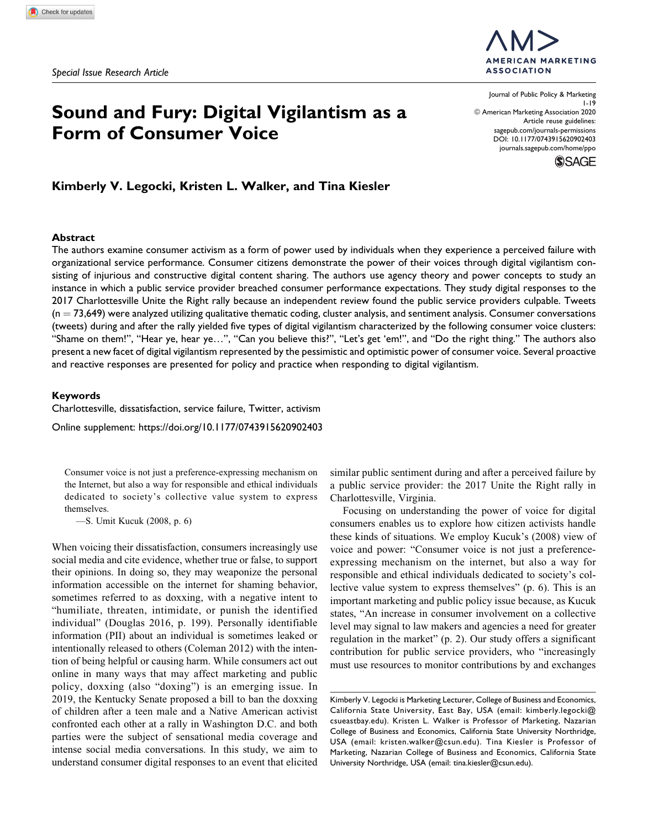# Sound and Fury: Digital Vigilantism as a Form of Consumer Voice

**MERICAN MARKETING ASSOCIATION** 

Journal of Public Policy & Marketing 1-19 © American Marketing Association 2020 Article reuse guidelines: [sagepub.com/journals-permissions](https://sagepub.com/journals-permissions) [DOI: 10.1177/0743915620902403](https://doi.org/10.1177/0743915620902403) [journals.sagepub.com/home/ppo](http://journals.sagepub.com/home/ppo)

**SSAGE** 

Kimberly V. Legocki, Kristen L. Walker, and Tina Kiesler

#### Abstract

The authors examine consumer activism as a form of power used by individuals when they experience a perceived failure with organizational service performance. Consumer citizens demonstrate the power of their voices through digital vigilantism consisting of injurious and constructive digital content sharing. The authors use agency theory and power concepts to study an instance in which a public service provider breached consumer performance expectations. They study digital responses to the 2017 Charlottesville Unite the Right rally because an independent review found the public service providers culpable. Tweets  $(n = 73,649)$  were analyzed utilizing qualitative thematic coding, cluster analysis, and sentiment analysis. Consumer conversations (tweets) during and after the rally yielded five types of digital vigilantism characterized by the following consumer voice clusters: "Shame on them!", "Hear ye, hear ye…", "Can you believe this?", "Let's get 'em!", and "Do the right thing." The authors also present a new facet of digital vigilantism represented by the pessimistic and optimistic power of consumer voice. Several proactive and reactive responses are presented for policy and practice when responding to digital vigilantism.

#### Keywords

Charlottesville, dissatisfaction, service failure, Twitter, activism

Online supplement:<https://doi.org/10.1177/0743915620902403>

Consumer voice is not just a preference-expressing mechanism on the Internet, but also a way for responsible and ethical individuals dedicated to society's collective value system to express themselves.

—S. Umit Kucuk (2008, p. 6)

When voicing their dissatisfaction, consumers increasingly use social media and cite evidence, whether true or false, to support their opinions. In doing so, they may weaponize the personal information accessible on the internet for shaming behavior, sometimes referred to as doxxing, with a negative intent to "humiliate, threaten, intimidate, or punish the identified individual" (Douglas 2016, p. 199). Personally identifiable information (PII) about an individual is sometimes leaked or intentionally released to others (Coleman 2012) with the intention of being helpful or causing harm. While consumers act out online in many ways that may affect marketing and public policy, doxxing (also "doxing") is an emerging issue. In 2019, the Kentucky Senate proposed a bill to ban the doxxing of children after a teen male and a Native American activist confronted each other at a rally in Washington D.C. and both parties were the subject of sensational media coverage and intense social media conversations. In this study, we aim to understand consumer digital responses to an event that elicited similar public sentiment during and after a perceived failure by a public service provider: the 2017 Unite the Right rally in Charlottesville, Virginia.

Focusing on understanding the power of voice for digital consumers enables us to explore how citizen activists handle these kinds of situations. We employ Kucuk's (2008) view of voice and power: "Consumer voice is not just a preferenceexpressing mechanism on the internet, but also a way for responsible and ethical individuals dedicated to society's collective value system to express themselves" (p. 6). This is an important marketing and public policy issue because, as Kucuk states, "An increase in consumer involvement on a collective level may signal to law makers and agencies a need for greater regulation in the market" (p. 2). Our study offers a significant contribution for public service providers, who "increasingly must use resources to monitor contributions by and exchanges

Kimberly V. Legocki is Marketing Lecturer, College of Business and Economics, California State University, East Bay, USA (email: [kimberly.legocki@](mailto:kimberly.legocki@csueastbay.edu) [csueastbay.edu\)](mailto:kimberly.legocki@csueastbay.edu). Kristen L. Walker is Professor of Marketing, Nazarian College of Business and Economics, California State University Northridge, USA (email: [kristen.walker@csun.edu\)](mailto:kristen.walker@csun.edu). Tina Kiesler is Professor of Marketing, Nazarian College of Business and Economics, California State University Northridge, USA (email: [tina.kiesler@csun.edu](mailto:tina.kiesler@csun.edu)).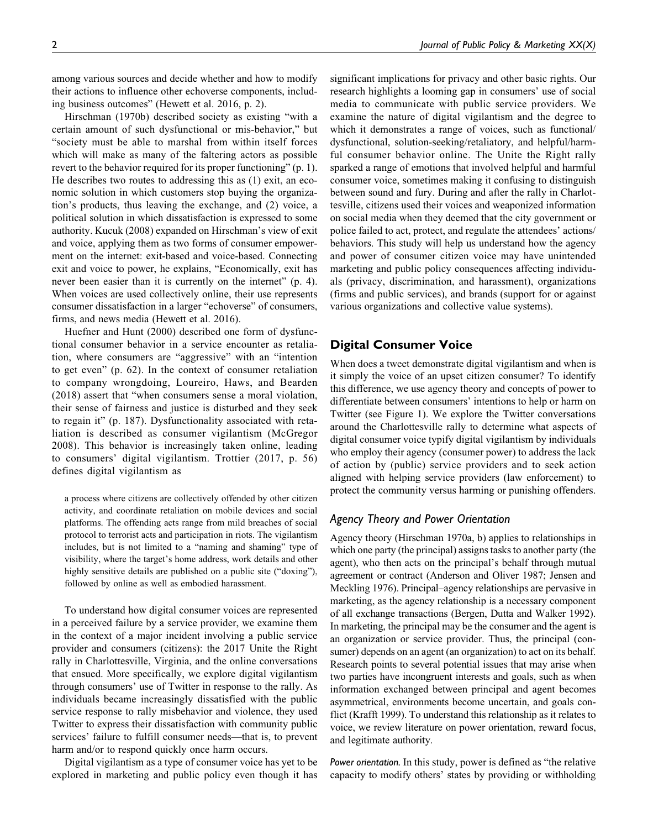among various sources and decide whether and how to modify their actions to influence other echoverse components, including business outcomes" (Hewett et al. 2016, p. 2).

Hirschman (1970b) described society as existing "with a certain amount of such dysfunctional or mis-behavior," but "society must be able to marshal from within itself forces which will make as many of the faltering actors as possible revert to the behavior required for its proper functioning" (p. 1). He describes two routes to addressing this as (1) exit, an economic solution in which customers stop buying the organization's products, thus leaving the exchange, and (2) voice, a political solution in which dissatisfaction is expressed to some authority. Kucuk (2008) expanded on Hirschman's view of exit and voice, applying them as two forms of consumer empowerment on the internet: exit-based and voice-based. Connecting exit and voice to power, he explains, "Economically, exit has never been easier than it is currently on the internet" (p. 4). When voices are used collectively online, their use represents consumer dissatisfaction in a larger "echoverse" of consumers, firms, and news media (Hewett et al. 2016).

Huefner and Hunt (2000) described one form of dysfunctional consumer behavior in a service encounter as retaliation, where consumers are "aggressive" with an "intention to get even" (p. 62). In the context of consumer retaliation to company wrongdoing, Loureiro, Haws, and Bearden (2018) assert that "when consumers sense a moral violation, their sense of fairness and justice is disturbed and they seek to regain it" (p. 187). Dysfunctionality associated with retaliation is described as consumer vigilantism (McGregor 2008). This behavior is increasingly taken online, leading to consumers' digital vigilantism. Trottier (2017, p. 56) defines digital vigilantism as

a process where citizens are collectively offended by other citizen activity, and coordinate retaliation on mobile devices and social platforms. The offending acts range from mild breaches of social protocol to terrorist acts and participation in riots. The vigilantism includes, but is not limited to a "naming and shaming" type of visibility, where the target's home address, work details and other highly sensitive details are published on a public site ("doxing"), followed by online as well as embodied harassment.

To understand how digital consumer voices are represented in a perceived failure by a service provider, we examine them in the context of a major incident involving a public service provider and consumers (citizens): the 2017 Unite the Right rally in Charlottesville, Virginia, and the online conversations that ensued. More specifically, we explore digital vigilantism through consumers' use of Twitter in response to the rally. As individuals became increasingly dissatisfied with the public service response to rally misbehavior and violence, they used Twitter to express their dissatisfaction with community public services' failure to fulfill consumer needs—that is, to prevent harm and/or to respond quickly once harm occurs.

Digital vigilantism as a type of consumer voice has yet to be explored in marketing and public policy even though it has

significant implications for privacy and other basic rights. Our research highlights a looming gap in consumers' use of social media to communicate with public service providers. We examine the nature of digital vigilantism and the degree to which it demonstrates a range of voices, such as functional/ dysfunctional, solution-seeking/retaliatory, and helpful/harmful consumer behavior online. The Unite the Right rally sparked a range of emotions that involved helpful and harmful consumer voice, sometimes making it confusing to distinguish between sound and fury. During and after the rally in Charlottesville, citizens used their voices and weaponized information on social media when they deemed that the city government or police failed to act, protect, and regulate the attendees' actions/ behaviors. This study will help us understand how the agency and power of consumer citizen voice may have unintended marketing and public policy consequences affecting individuals (privacy, discrimination, and harassment), organizations (firms and public services), and brands (support for or against various organizations and collective value systems).

## Digital Consumer Voice

When does a tweet demonstrate digital vigilantism and when is it simply the voice of an upset citizen consumer? To identify this difference, we use agency theory and concepts of power to differentiate between consumers' intentions to help or harm on Twitter (see Figure 1). We explore the Twitter conversations around the Charlottesville rally to determine what aspects of digital consumer voice typify digital vigilantism by individuals who employ their agency (consumer power) to address the lack of action by (public) service providers and to seek action aligned with helping service providers (law enforcement) to protect the community versus harming or punishing offenders.

## Agency Theory and Power Orientation

Agency theory (Hirschman 1970a, b) applies to relationships in which one party (the principal) assigns tasks to another party (the agent), who then acts on the principal's behalf through mutual agreement or contract (Anderson and Oliver 1987; Jensen and Meckling 1976). Principal–agency relationships are pervasive in marketing, as the agency relationship is a necessary component of all exchange transactions (Bergen, Dutta and Walker 1992). In marketing, the principal may be the consumer and the agent is an organization or service provider. Thus, the principal (consumer) depends on an agent (an organization) to act on its behalf. Research points to several potential issues that may arise when two parties have incongruent interests and goals, such as when information exchanged between principal and agent becomes asymmetrical, environments become uncertain, and goals conflict (Krafft 1999). To understand this relationship as it relates to voice, we review literature on power orientation, reward focus, and legitimate authority.

Power orientation. In this study, power is defined as "the relative capacity to modify others' states by providing or withholding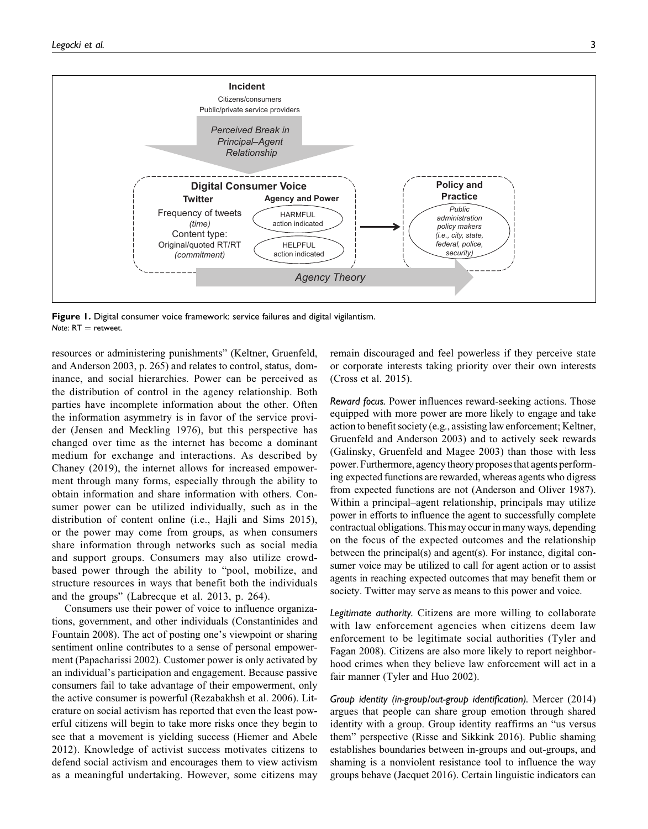

Figure 1. Digital consumer voice framework: service failures and digital vigilantism. Note:  $RT =$  retweet.

resources or administering punishments" (Keltner, Gruenfeld, and Anderson 2003, p. 265) and relates to control, status, dominance, and social hierarchies. Power can be perceived as the distribution of control in the agency relationship. Both parties have incomplete information about the other. Often the information asymmetry is in favor of the service provider (Jensen and Meckling 1976), but this perspective has changed over time as the internet has become a dominant medium for exchange and interactions. As described by Chaney (2019), the internet allows for increased empowerment through many forms, especially through the ability to obtain information and share information with others. Consumer power can be utilized individually, such as in the distribution of content online (i.e., Hajli and Sims 2015), or the power may come from groups, as when consumers share information through networks such as social media and support groups. Consumers may also utilize crowdbased power through the ability to "pool, mobilize, and structure resources in ways that benefit both the individuals and the groups" (Labrecque et al. 2013, p. 264).

Consumers use their power of voice to influence organizations, government, and other individuals (Constantinides and Fountain 2008). The act of posting one's viewpoint or sharing sentiment online contributes to a sense of personal empowerment (Papacharissi 2002). Customer power is only activated by an individual's participation and engagement. Because passive consumers fail to take advantage of their empowerment, only the active consumer is powerful (Rezabakhsh et al. 2006). Literature on social activism has reported that even the least powerful citizens will begin to take more risks once they begin to see that a movement is yielding success (Hiemer and Abele 2012). Knowledge of activist success motivates citizens to defend social activism and encourages them to view activism as a meaningful undertaking. However, some citizens may remain discouraged and feel powerless if they perceive state or corporate interests taking priority over their own interests (Cross et al. 2015).

Reward focus. Power influences reward-seeking actions. Those equipped with more power are more likely to engage and take action to benefit society (e.g., assisting law enforcement; Keltner, Gruenfeld and Anderson 2003) and to actively seek rewards (Galinsky, Gruenfeld and Magee 2003) than those with less power. Furthermore, agency theory proposes that agents performing expected functions are rewarded, whereas agents who digress from expected functions are not (Anderson and Oliver 1987). Within a principal–agent relationship, principals may utilize power in efforts to influence the agent to successfully complete contractual obligations. This may occur in many ways, depending on the focus of the expected outcomes and the relationship between the principal(s) and agent(s). For instance, digital consumer voice may be utilized to call for agent action or to assist agents in reaching expected outcomes that may benefit them or society. Twitter may serve as means to this power and voice.

Legitimate authority. Citizens are more willing to collaborate with law enforcement agencies when citizens deem law enforcement to be legitimate social authorities (Tyler and Fagan 2008). Citizens are also more likely to report neighborhood crimes when they believe law enforcement will act in a fair manner (Tyler and Huo 2002).

Group identity (in-group/out-group identification). Mercer (2014) argues that people can share group emotion through shared identity with a group. Group identity reaffirms an "us versus them" perspective (Risse and Sikkink 2016). Public shaming establishes boundaries between in-groups and out-groups, and shaming is a nonviolent resistance tool to influence the way groups behave (Jacquet 2016). Certain linguistic indicators can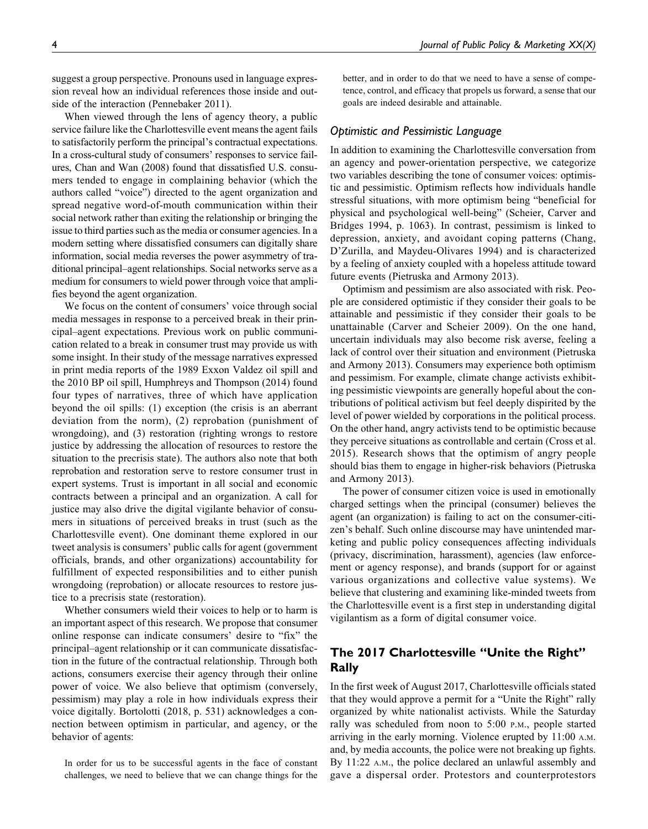suggest a group perspective. Pronouns used in language expression reveal how an individual references those inside and outside of the interaction (Pennebaker 2011).

When viewed through the lens of agency theory, a public service failure like the Charlottesville event means the agent fails to satisfactorily perform the principal's contractual expectations. In a cross-cultural study of consumers' responses to service failures, Chan and Wan (2008) found that dissatisfied U.S. consumers tended to engage in complaining behavior (which the authors called "voice") directed to the agent organization and spread negative word-of-mouth communication within their social network rather than exiting the relationship or bringing the issue to third parties such as the media or consumer agencies. In a modern setting where dissatisfied consumers can digitally share information, social media reverses the power asymmetry of traditional principal–agent relationships. Social networks serve as a medium for consumers to wield power through voice that amplifies beyond the agent organization.

We focus on the content of consumers' voice through social media messages in response to a perceived break in their principal–agent expectations. Previous work on public communication related to a break in consumer trust may provide us with some insight. In their study of the message narratives expressed in print media reports of the 1989 Exxon Valdez oil spill and the 2010 BP oil spill, Humphreys and Thompson (2014) found four types of narratives, three of which have application beyond the oil spills: (1) exception (the crisis is an aberrant deviation from the norm), (2) reprobation (punishment of wrongdoing), and (3) restoration (righting wrongs to restore justice by addressing the allocation of resources to restore the situation to the precrisis state). The authors also note that both reprobation and restoration serve to restore consumer trust in expert systems. Trust is important in all social and economic contracts between a principal and an organization. A call for justice may also drive the digital vigilante behavior of consumers in situations of perceived breaks in trust (such as the Charlottesville event). One dominant theme explored in our tweet analysis is consumers' public calls for agent (government officials, brands, and other organizations) accountability for fulfillment of expected responsibilities and to either punish wrongdoing (reprobation) or allocate resources to restore justice to a precrisis state (restoration).

Whether consumers wield their voices to help or to harm is an important aspect of this research. We propose that consumer online response can indicate consumers' desire to "fix" the principal–agent relationship or it can communicate dissatisfaction in the future of the contractual relationship. Through both actions, consumers exercise their agency through their online power of voice. We also believe that optimism (conversely, pessimism) may play a role in how individuals express their voice digitally. Bortolotti (2018, p. 531) acknowledges a connection between optimism in particular, and agency, or the behavior of agents:

In order for us to be successful agents in the face of constant challenges, we need to believe that we can change things for the

better, and in order to do that we need to have a sense of competence, control, and efficacy that propels us forward, a sense that our goals are indeed desirable and attainable.

#### Optimistic and Pessimistic Language

In addition to examining the Charlottesville conversation from an agency and power-orientation perspective, we categorize two variables describing the tone of consumer voices: optimistic and pessimistic. Optimism reflects how individuals handle stressful situations, with more optimism being "beneficial for physical and psychological well-being" (Scheier, Carver and Bridges 1994, p. 1063). In contrast, pessimism is linked to depression, anxiety, and avoidant coping patterns (Chang, D'Zurilla, and Maydeu-Olivares 1994) and is characterized by a feeling of anxiety coupled with a hopeless attitude toward future events (Pietruska and Armony 2013).

Optimism and pessimism are also associated with risk. People are considered optimistic if they consider their goals to be attainable and pessimistic if they consider their goals to be unattainable (Carver and Scheier 2009). On the one hand, uncertain individuals may also become risk averse, feeling a lack of control over their situation and environment (Pietruska and Armony 2013). Consumers may experience both optimism and pessimism. For example, climate change activists exhibiting pessimistic viewpoints are generally hopeful about the contributions of political activism but feel deeply dispirited by the level of power wielded by corporations in the political process. On the other hand, angry activists tend to be optimistic because they perceive situations as controllable and certain (Cross et al. 2015). Research shows that the optimism of angry people should bias them to engage in higher-risk behaviors (Pietruska and Armony 2013).

The power of consumer citizen voice is used in emotionally charged settings when the principal (consumer) believes the agent (an organization) is failing to act on the consumer-citizen's behalf. Such online discourse may have unintended marketing and public policy consequences affecting individuals (privacy, discrimination, harassment), agencies (law enforcement or agency response), and brands (support for or against various organizations and collective value systems). We believe that clustering and examining like-minded tweets from the Charlottesville event is a first step in understanding digital vigilantism as a form of digital consumer voice.

## The 2017 Charlottesville "Unite the Right" Rally

In the first week of August 2017, Charlottesville officials stated that they would approve a permit for a "Unite the Right" rally organized by white nationalist activists. While the Saturday rally was scheduled from noon to 5:00 P.M., people started arriving in the early morning. Violence erupted by 11:00 A.M. and, by media accounts, the police were not breaking up fights. By 11:22 A.M., the police declared an unlawful assembly and gave a dispersal order. Protestors and counterprotestors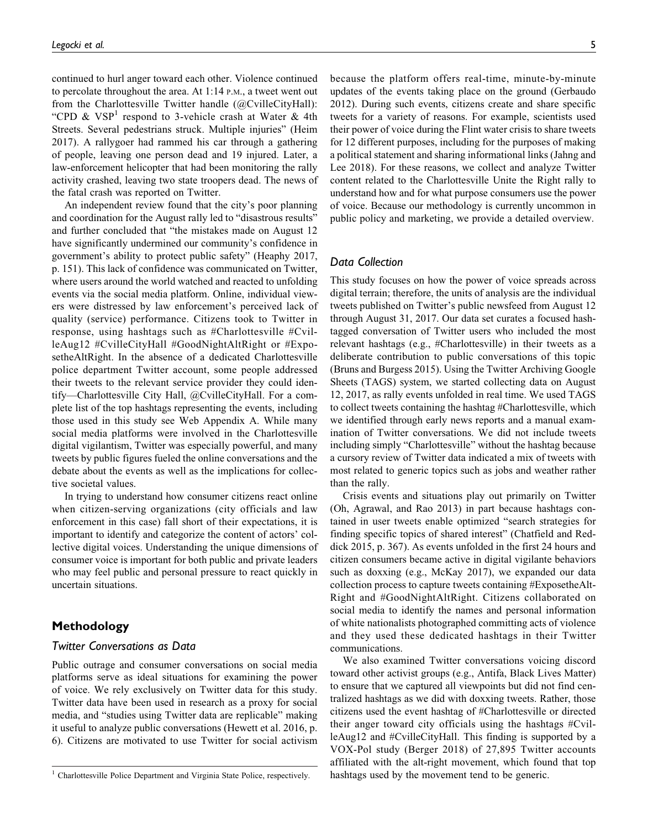continued to hurl anger toward each other. Violence continued to percolate throughout the area. At 1:14 P.M., a tweet went out from the Charlottesville Twitter handle (@CvilleCityHall): "CPD &  $VSP<sup>1</sup>$  respond to 3-vehicle crash at Water & 4th Streets. Several pedestrians struck. Multiple injuries" (Heim 2017). A rallygoer had rammed his car through a gathering of people, leaving one person dead and 19 injured. Later, a law-enforcement helicopter that had been monitoring the rally activity crashed, leaving two state troopers dead. The news of the fatal crash was reported on Twitter.

An independent review found that the city's poor planning and coordination for the August rally led to "disastrous results" and further concluded that "the mistakes made on August 12 have significantly undermined our community's confidence in government's ability to protect public safety" (Heaphy 2017, p. 151). This lack of confidence was communicated on Twitter, where users around the world watched and reacted to unfolding events via the social media platform. Online, individual viewers were distressed by law enforcement's perceived lack of quality (service) performance. Citizens took to Twitter in response, using hashtags such as #Charlottesville #CvilleAug12 #CvilleCityHall #GoodNightAltRight or #ExposetheAltRight. In the absence of a dedicated Charlottesville police department Twitter account, some people addressed their tweets to the relevant service provider they could identify—Charlottesville City Hall, @CvilleCityHall. For a complete list of the top hashtags representing the events, including those used in this study see Web Appendix A. While many social media platforms were involved in the Charlottesville digital vigilantism, Twitter was especially powerful, and many tweets by public figures fueled the online conversations and the debate about the events as well as the implications for collective societal values.

In trying to understand how consumer citizens react online when citizen-serving organizations (city officials and law enforcement in this case) fall short of their expectations, it is important to identify and categorize the content of actors' collective digital voices. Understanding the unique dimensions of consumer voice is important for both public and private leaders who may feel public and personal pressure to react quickly in uncertain situations.

## Methodology

#### Twitter Conversations as Data

Public outrage and consumer conversations on social media platforms serve as ideal situations for examining the power of voice. We rely exclusively on Twitter data for this study. Twitter data have been used in research as a proxy for social media, and "studies using Twitter data are replicable" making it useful to analyze public conversations (Hewett et al. 2016, p. 6). Citizens are motivated to use Twitter for social activism

because the platform offers real-time, minute-by-minute updates of the events taking place on the ground (Gerbaudo 2012). During such events, citizens create and share specific tweets for a variety of reasons. For example, scientists used their power of voice during the Flint water crisis to share tweets for 12 different purposes, including for the purposes of making a political statement and sharing informational links (Jahng and Lee 2018). For these reasons, we collect and analyze Twitter content related to the Charlottesville Unite the Right rally to understand how and for what purpose consumers use the power of voice. Because our methodology is currently uncommon in public policy and marketing, we provide a detailed overview.

#### Data Collection

This study focuses on how the power of voice spreads across digital terrain; therefore, the units of analysis are the individual tweets published on Twitter's public newsfeed from August 12 through August 31, 2017. Our data set curates a focused hashtagged conversation of Twitter users who included the most relevant hashtags (e.g., #Charlottesville) in their tweets as a deliberate contribution to public conversations of this topic (Bruns and Burgess 2015). Using the Twitter Archiving Google Sheets (TAGS) system, we started collecting data on August 12, 2017, as rally events unfolded in real time. We used TAGS to collect tweets containing the hashtag #Charlottesville, which we identified through early news reports and a manual examination of Twitter conversations. We did not include tweets including simply "Charlottesville" without the hashtag because a cursory review of Twitter data indicated a mix of tweets with most related to generic topics such as jobs and weather rather than the rally.

Crisis events and situations play out primarily on Twitter (Oh, Agrawal, and Rao 2013) in part because hashtags contained in user tweets enable optimized "search strategies for finding specific topics of shared interest" (Chatfield and Reddick 2015, p. 367). As events unfolded in the first 24 hours and citizen consumers became active in digital vigilante behaviors such as doxxing (e.g., McKay 2017), we expanded our data collection process to capture tweets containing #ExposetheAlt-Right and #GoodNightAltRight. Citizens collaborated on social media to identify the names and personal information of white nationalists photographed committing acts of violence and they used these dedicated hashtags in their Twitter communications.

We also examined Twitter conversations voicing discord toward other activist groups (e.g., Antifa, Black Lives Matter) to ensure that we captured all viewpoints but did not find centralized hashtags as we did with doxxing tweets. Rather, those citizens used the event hashtag of #Charlottesville or directed their anger toward city officials using the hashtags #CvilleAug12 and #CvilleCityHall. This finding is supported by a VOX-Pol study (Berger 2018) of 27,895 Twitter accounts affiliated with the alt-right movement, which found that top <sup>1</sup> Charlottesville Police Department and Virginia State Police, respectively. hashtags used by the movement tend to be generic.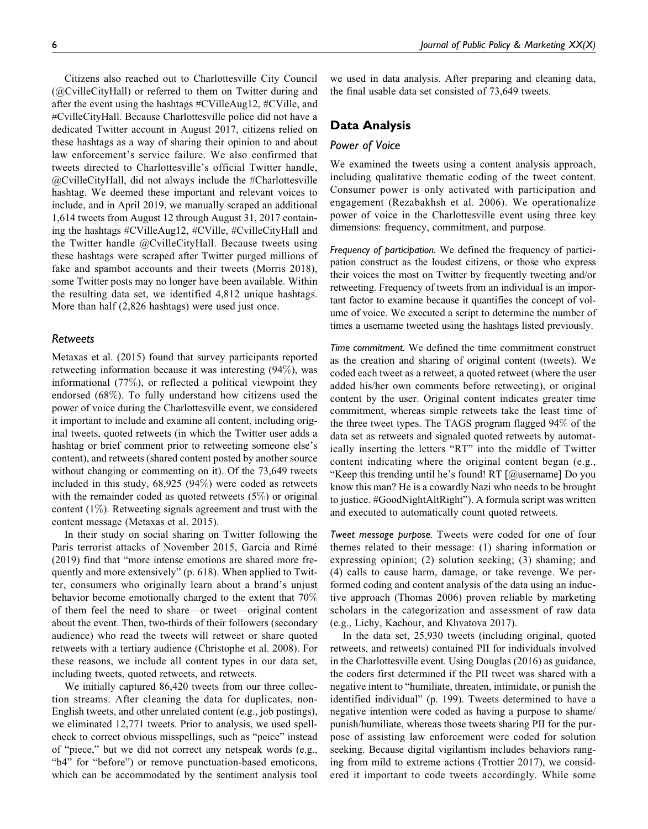Citizens also reached out to Charlottesville City Council (@CvilleCityHall) or referred to them on Twitter during and after the event using the hashtags #CVilleAug12, #CVille, and #CvilleCityHall. Because Charlottesville police did not have a dedicated Twitter account in August 2017, citizens relied on these hashtags as a way of sharing their opinion to and about law enforcement's service failure. We also confirmed that tweets directed to Charlottesville's official Twitter handle, @CvilleCityHall, did not always include the #Charlottesville hashtag. We deemed these important and relevant voices to include, and in April 2019, we manually scraped an additional 1,614 tweets from August 12 through August 31, 2017 containing the hashtags #CVilleAug12, #CVille, #CvilleCityHall and the Twitter handle @CvilleCityHall. Because tweets using these hashtags were scraped after Twitter purged millions of fake and spambot accounts and their tweets (Morris 2018), some Twitter posts may no longer have been available. Within the resulting data set, we identified 4,812 unique hashtags. More than half (2,826 hashtags) were used just once.

## Retweets

Metaxas et al. (2015) found that survey participants reported retweeting information because it was interesting (94%), was informational (77%), or reflected a political viewpoint they endorsed (68%). To fully understand how citizens used the power of voice during the Charlottesville event, we considered it important to include and examine all content, including original tweets, quoted retweets (in which the Twitter user adds a hashtag or brief comment prior to retweeting someone else's content), and retweets (shared content posted by another source without changing or commenting on it). Of the 73,649 tweets included in this study, 68,925 (94%) were coded as retweets with the remainder coded as quoted retweets (5%) or original content (1%). Retweeting signals agreement and trust with the content message (Metaxas et al. 2015).

In their study on social sharing on Twitter following the Paris terrorist attacks of November 2015, Garcia and Rimé (2019) find that "more intense emotions are shared more frequently and more extensively" (p. 618). When applied to Twitter, consumers who originally learn about a brand's unjust behavior become emotionally charged to the extent that 70% of them feel the need to share—or tweet—original content about the event. Then, two-thirds of their followers (secondary audience) who read the tweets will retweet or share quoted retweets with a tertiary audience (Christophe et al. 2008). For these reasons, we include all content types in our data set, including tweets, quoted retweets, and retweets.

We initially captured 86,420 tweets from our three collection streams. After cleaning the data for duplicates, non-English tweets, and other unrelated content (e.g., job postings), we eliminated 12,771 tweets. Prior to analysis, we used spellcheck to correct obvious misspellings, such as "peice" instead of "piece," but we did not correct any netspeak words (e.g., "b4" for "before") or remove punctuation-based emoticons, which can be accommodated by the sentiment analysis tool we used in data analysis. After preparing and cleaning data, the final usable data set consisted of 73,649 tweets.

## Data Analysis

## Power of Voice

We examined the tweets using a content analysis approach, including qualitative thematic coding of the tweet content. Consumer power is only activated with participation and engagement (Rezabakhsh et al. 2006). We operationalize power of voice in the Charlottesville event using three key dimensions: frequency, commitment, and purpose.

Frequency of participation. We defined the frequency of participation construct as the loudest citizens, or those who express their voices the most on Twitter by frequently tweeting and/or retweeting. Frequency of tweets from an individual is an important factor to examine because it quantifies the concept of volume of voice. We executed a script to determine the number of times a username tweeted using the hashtags listed previously.

Time commitment. We defined the time commitment construct as the creation and sharing of original content (tweets). We coded each tweet as a retweet, a quoted retweet (where the user added his/her own comments before retweeting), or original content by the user. Original content indicates greater time commitment, whereas simple retweets take the least time of the three tweet types. The TAGS program flagged 94% of the data set as retweets and signaled quoted retweets by automatically inserting the letters "RT" into the middle of Twitter content indicating where the original content began (e.g., "Keep this trending until he's found! RT [@username] Do you know this man? He is a cowardly Nazi who needs to be brought to justice. #GoodNightAltRight"). A formula script was written and executed to automatically count quoted retweets.

Tweet message purpose. Tweets were coded for one of four themes related to their message: (1) sharing information or expressing opinion; (2) solution seeking; (3) shaming; and (4) calls to cause harm, damage, or take revenge. We performed coding and content analysis of the data using an inductive approach (Thomas 2006) proven reliable by marketing scholars in the categorization and assessment of raw data (e.g., Lichy, Kachour, and Khvatova 2017).

In the data set, 25,930 tweets (including original, quoted retweets, and retweets) contained PII for individuals involved in the Charlottesville event. Using Douglas (2016) as guidance, the coders first determined if the PII tweet was shared with a negative intent to "humiliate, threaten, intimidate, or punish the identified individual" (p. 199). Tweets determined to have a negative intention were coded as having a purpose to shame/ punish/humiliate, whereas those tweets sharing PII for the purpose of assisting law enforcement were coded for solution seeking. Because digital vigilantism includes behaviors ranging from mild to extreme actions (Trottier 2017), we considered it important to code tweets accordingly. While some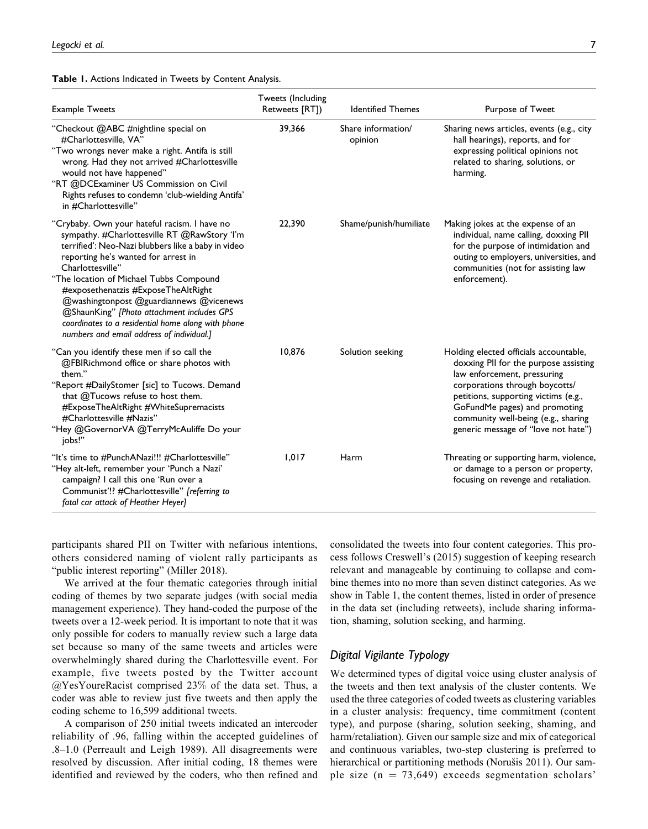Table 1. Actions Indicated in Tweets by Content Analysis.

| <b>Example Tweets</b>                                                                                                                                                                                                                                                                                                                                                                                                                                                                       | Tweets (Including<br>Retweets [RT]) | <b>Identified Themes</b>      | Purpose of Tweet                                                                                                                                                                                                                                                                                        |
|---------------------------------------------------------------------------------------------------------------------------------------------------------------------------------------------------------------------------------------------------------------------------------------------------------------------------------------------------------------------------------------------------------------------------------------------------------------------------------------------|-------------------------------------|-------------------------------|---------------------------------------------------------------------------------------------------------------------------------------------------------------------------------------------------------------------------------------------------------------------------------------------------------|
| "Checkout @ABC #nightline special on<br>#Charlottesville, VA"<br>"Two wrongs never make a right. Antifa is still<br>wrong. Had they not arrived #Charlottesville<br>would not have happened"<br>"RT @DCExaminer US Commission on Civil<br>Rights refuses to condemn 'club-wielding Antifa'<br>in #Charlottesville"                                                                                                                                                                          | 39.366                              | Share information/<br>opinion | Sharing news articles, events (e.g., city<br>hall hearings), reports, and for<br>expressing political opinions not<br>related to sharing, solutions, or<br>harming.                                                                                                                                     |
| "Crybaby. Own your hateful racism. I have no<br>sympathy. #Charlottesville RT @RawStory 'I'm<br>terrified': Neo-Nazi blubbers like a baby in video<br>reporting he's wanted for arrest in<br>Charlottesville"<br>"The location of Michael Tubbs Compound<br>#exposethenatzis #ExposeTheAltRight<br>@washingtonpost @guardiannews @vicenews<br>@ShaunKing" [Photo attachment includes GPS<br>coordinates to a residential home along with phone<br>numbers and email address of individual.] | 22,390                              | Shame/punish/humiliate        | Making jokes at the expense of an<br>individual, name calling, doxxing PII<br>for the purpose of intimidation and<br>outing to employers, universities, and<br>communities (not for assisting law<br>enforcement).                                                                                      |
| "Can you identify these men if so call the<br>@FBIRichmond office or share photos with<br>them."<br>"Report #DailyStomer [sic] to Tucows. Demand<br>that @Tucows refuse to host them.<br>#ExposeTheAltRight #WhiteSupremacists<br>#Charlottesville #Nazis"<br>"Hey @GovernorVA @TerryMcAuliffe Do your<br>jobs!"                                                                                                                                                                            | 10,876                              | Solution seeking              | Holding elected officials accountable,<br>doxxing PII for the purpose assisting<br>law enforcement, pressuring<br>corporations through boycotts/<br>petitions, supporting victims (e.g.,<br>GoFundMe pages) and promoting<br>community well-being (e.g., sharing<br>generic message of "love not hate") |
| "It's time to #PunchANazi!!! #Charlottesville"<br>"Hey alt-left, remember your 'Punch a Nazi'<br>campaign? I call this one 'Run over a<br>Communist'!? #Charlottesville" [referring to<br>fatal car attack of Heather Heyer]                                                                                                                                                                                                                                                                | 1.017                               | Harm                          | Threating or supporting harm, violence,<br>or damage to a person or property,<br>focusing on revenge and retaliation.                                                                                                                                                                                   |

participants shared PII on Twitter with nefarious intentions, others considered naming of violent rally participants as "public interest reporting" (Miller 2018).

We arrived at the four thematic categories through initial coding of themes by two separate judges (with social media management experience). They hand-coded the purpose of the tweets over a 12-week period. It is important to note that it was only possible for coders to manually review such a large data set because so many of the same tweets and articles were overwhelmingly shared during the Charlottesville event. For example, five tweets posted by the Twitter account @YesYoureRacist comprised 23% of the data set. Thus, a coder was able to review just five tweets and then apply the coding scheme to 16,599 additional tweets.

A comparison of 250 initial tweets indicated an intercoder reliability of .96, falling within the accepted guidelines of .8–1.0 (Perreault and Leigh 1989). All disagreements were resolved by discussion. After initial coding, 18 themes were identified and reviewed by the coders, who then refined and

consolidated the tweets into four content categories. This process follows Creswell's (2015) suggestion of keeping research relevant and manageable by continuing to collapse and combine themes into no more than seven distinct categories. As we show in Table 1, the content themes, listed in order of presence in the data set (including retweets), include sharing information, shaming, solution seeking, and harming.

## Digital Vigilante Typology

We determined types of digital voice using cluster analysis of the tweets and then text analysis of the cluster contents. We used the three categories of coded tweets as clustering variables in a cluster analysis: frequency, time commitment (content type), and purpose (sharing, solution seeking, shaming, and harm/retaliation). Given our sample size and mix of categorical and continuous variables, two-step clustering is preferred to hierarchical or partitioning methods (Norušis 2011). Our sample size  $(n = 73,649)$  exceeds segmentation scholars'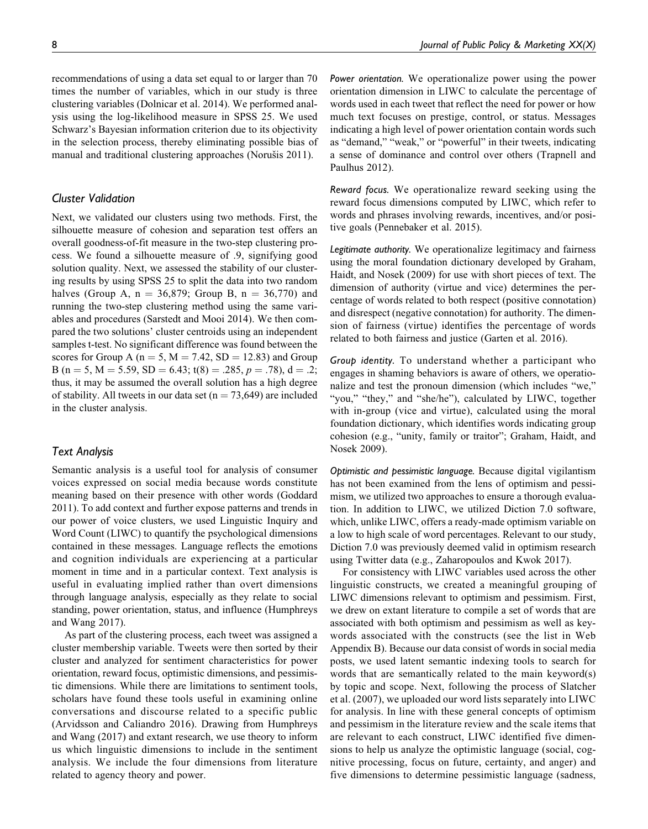recommendations of using a data set equal to or larger than 70 times the number of variables, which in our study is three clustering variables (Dolnicar et al. 2014). We performed analysis using the log-likelihood measure in SPSS 25. We used Schwarz's Bayesian information criterion due to its objectivity in the selection process, thereby eliminating possible bias of manual and traditional clustering approaches (Norušis 2011).

## Cluster Validation

Next, we validated our clusters using two methods. First, the silhouette measure of cohesion and separation test offers an overall goodness-of-fit measure in the two-step clustering process. We found a silhouette measure of .9, signifying good solution quality. Next, we assessed the stability of our clustering results by using SPSS 25 to split the data into two random halves (Group A,  $n = 36,879$ ; Group B,  $n = 36,770$ ) and running the two-step clustering method using the same variables and procedures (Sarstedt and Mooi 2014). We then compared the two solutions' cluster centroids using an independent samples t-test. No significant difference was found between the scores for Group A ( $n = 5$ ,  $M = 7.42$ ,  $SD = 12.83$ ) and Group B (n = 5, M = 5.59, SD = 6.43; t(8) = .285, p = .78), d = .2; thus, it may be assumed the overall solution has a high degree of stability. All tweets in our data set ( $n = 73,649$ ) are included in the cluster analysis.

#### Text Analysis

Semantic analysis is a useful tool for analysis of consumer voices expressed on social media because words constitute meaning based on their presence with other words (Goddard 2011). To add context and further expose patterns and trends in our power of voice clusters, we used Linguistic Inquiry and Word Count (LIWC) to quantify the psychological dimensions contained in these messages. Language reflects the emotions and cognition individuals are experiencing at a particular moment in time and in a particular context. Text analysis is useful in evaluating implied rather than overt dimensions through language analysis, especially as they relate to social standing, power orientation, status, and influence (Humphreys and Wang 2017).

As part of the clustering process, each tweet was assigned a cluster membership variable. Tweets were then sorted by their cluster and analyzed for sentiment characteristics for power orientation, reward focus, optimistic dimensions, and pessimistic dimensions. While there are limitations to sentiment tools, scholars have found these tools useful in examining online conversations and discourse related to a specific public (Arvidsson and Caliandro 2016). Drawing from Humphreys and Wang (2017) and extant research, we use theory to inform us which linguistic dimensions to include in the sentiment analysis. We include the four dimensions from literature related to agency theory and power.

Power orientation. We operationalize power using the power orientation dimension in LIWC to calculate the percentage of words used in each tweet that reflect the need for power or how much text focuses on prestige, control, or status. Messages indicating a high level of power orientation contain words such as "demand," "weak," or "powerful" in their tweets, indicating a sense of dominance and control over others (Trapnell and Paulhus 2012).

Reward focus. We operationalize reward seeking using the reward focus dimensions computed by LIWC, which refer to words and phrases involving rewards, incentives, and/or positive goals (Pennebaker et al. 2015).

Legitimate authority. We operationalize legitimacy and fairness using the moral foundation dictionary developed by Graham, Haidt, and Nosek (2009) for use with short pieces of text. The dimension of authority (virtue and vice) determines the percentage of words related to both respect (positive connotation) and disrespect (negative connotation) for authority. The dimension of fairness (virtue) identifies the percentage of words related to both fairness and justice (Garten et al. 2016).

Group identity. To understand whether a participant who engages in shaming behaviors is aware of others, we operationalize and test the pronoun dimension (which includes "we," "you," "they," and "she/he"), calculated by LIWC, together with in-group (vice and virtue), calculated using the moral foundation dictionary, which identifies words indicating group cohesion (e.g., "unity, family or traitor"; Graham, Haidt, and Nosek 2009).

Optimistic and pessimistic language. Because digital vigilantism has not been examined from the lens of optimism and pessimism, we utilized two approaches to ensure a thorough evaluation. In addition to LIWC, we utilized Diction 7.0 software, which, unlike LIWC, offers a ready-made optimism variable on a low to high scale of word percentages. Relevant to our study, Diction 7.0 was previously deemed valid in optimism research using Twitter data (e.g., Zaharopoulos and Kwok 2017).

For consistency with LIWC variables used across the other linguistic constructs, we created a meaningful grouping of LIWC dimensions relevant to optimism and pessimism. First, we drew on extant literature to compile a set of words that are associated with both optimism and pessimism as well as keywords associated with the constructs (see the list in Web Appendix B). Because our data consist of words in social media posts, we used latent semantic indexing tools to search for words that are semantically related to the main keyword(s) by topic and scope. Next, following the process of Slatcher et al. (2007), we uploaded our word lists separately into LIWC for analysis. In line with these general concepts of optimism and pessimism in the literature review and the scale items that are relevant to each construct, LIWC identified five dimensions to help us analyze the optimistic language (social, cognitive processing, focus on future, certainty, and anger) and five dimensions to determine pessimistic language (sadness,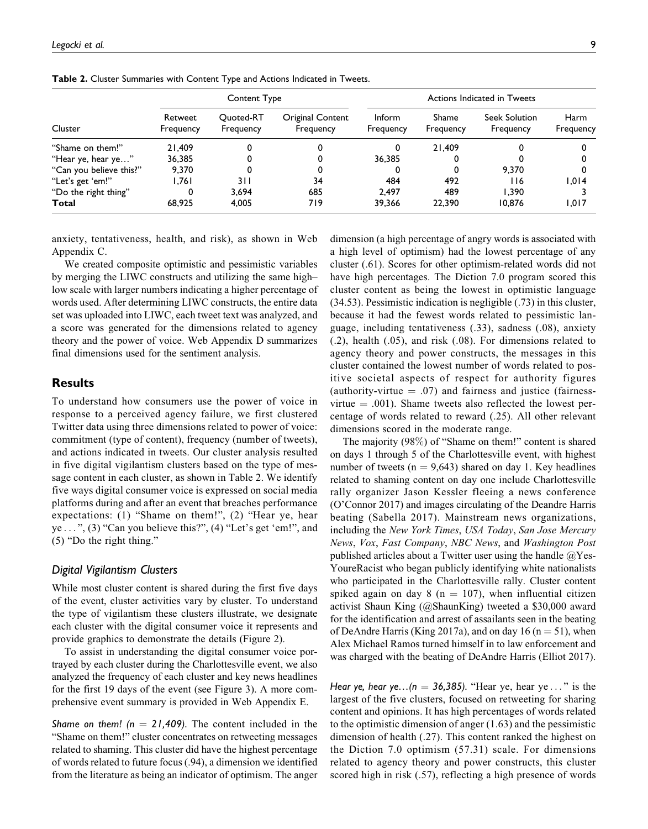|                         | Content Type         |                        |                               | Actions Indicated in Tweets |                    |                            |                          |
|-------------------------|----------------------|------------------------|-------------------------------|-----------------------------|--------------------|----------------------------|--------------------------|
| Cluster                 | Retweet<br>Frequency | Quoted-RT<br>Frequency | Original Content<br>Frequency | <b>Inform</b><br>Frequency  | Shame<br>Frequency | Seek Solution<br>Frequency | <b>Harm</b><br>Frequency |
| "Shame on them!"        | 21,409               |                        |                               |                             | 21.409             |                            |                          |
| "Hear ye, hear ye"      | 36.385               |                        |                               | 36.385                      |                    |                            |                          |
| "Can you believe this?" | 9.370                |                        |                               |                             |                    | 9.370                      |                          |
| "Let's get 'em!"        | 1.761                | 3 I I                  | 34                            | 484                         | 492                | <b>116</b>                 | 1.014                    |
| "Do the right thing"    |                      | 3.694                  | 685                           | 2.497                       | 489                | 1.390                      |                          |
| Total                   | 68,925               | 4.005                  | 719                           | 39.366                      | 22.390             | 10.876                     | 1.017                    |

Table 2. Cluster Summaries with Content Type and Actions Indicated in Tweets.

anxiety, tentativeness, health, and risk), as shown in Web Appendix C.

We created composite optimistic and pessimistic variables by merging the LIWC constructs and utilizing the same high– low scale with larger numbers indicating a higher percentage of words used. After determining LIWC constructs, the entire data set was uploaded into LIWC, each tweet text was analyzed, and a score was generated for the dimensions related to agency theory and the power of voice. Web Appendix D summarizes final dimensions used for the sentiment analysis.

## **Results**

To understand how consumers use the power of voice in response to a perceived agency failure, we first clustered Twitter data using three dimensions related to power of voice: commitment (type of content), frequency (number of tweets), and actions indicated in tweets. Our cluster analysis resulted in five digital vigilantism clusters based on the type of message content in each cluster, as shown in Table 2. We identify five ways digital consumer voice is expressed on social media platforms during and after an event that breaches performance expectations: (1) "Shame on them!", (2) "Hear ye, hear ye ... ", (3) "Can you believe this?", (4) "Let's get 'em!", and (5) "Do the right thing."

#### Digital Vigilantism Clusters

While most cluster content is shared during the first five days of the event, cluster activities vary by cluster. To understand the type of vigilantism these clusters illustrate, we designate each cluster with the digital consumer voice it represents and provide graphics to demonstrate the details (Figure 2).

To assist in understanding the digital consumer voice portrayed by each cluster during the Charlottesville event, we also analyzed the frequency of each cluster and key news headlines for the first 19 days of the event (see Figure 3). A more comprehensive event summary is provided in Web Appendix E.

Shame on them! ( $n = 21,409$ ). The content included in the "Shame on them!" cluster concentrates on retweeting messages related to shaming. This cluster did have the highest percentage of words related to future focus (.94), a dimension we identified from the literature as being an indicator of optimism. The anger dimension (a high percentage of angry words is associated with a high level of optimism) had the lowest percentage of any cluster (.61). Scores for other optimism-related words did not have high percentages. The Diction 7.0 program scored this cluster content as being the lowest in optimistic language (34.53). Pessimistic indication is negligible (.73) in this cluster, because it had the fewest words related to pessimistic language, including tentativeness (.33), sadness (.08), anxiety (.2), health (.05), and risk (.08). For dimensions related to agency theory and power constructs, the messages in this cluster contained the lowest number of words related to positive societal aspects of respect for authority figures (authority-virtue  $= .07$ ) and fairness and justice (fairnessvirtue  $= .001$ ). Shame tweets also reflected the lowest percentage of words related to reward (.25). All other relevant dimensions scored in the moderate range.

The majority (98%) of "Shame on them!" content is shared on days 1 through 5 of the Charlottesville event, with highest number of tweets ( $n = 9,643$ ) shared on day 1. Key headlines related to shaming content on day one include Charlottesville rally organizer Jason Kessler fleeing a news conference (O'Connor 2017) and images circulating of the Deandre Harris beating (Sabella 2017). Mainstream news organizations, including the New York Times, USA Today, San Jose Mercury News, Vox, Fast Company, NBC News, and Washington Post published articles about a Twitter user using the handle  $@$ Yes-YoureRacist who began publicly identifying white nationalists who participated in the Charlottesville rally. Cluster content spiked again on day 8 ( $n = 107$ ), when influential citizen activist Shaun King (@ShaunKing) tweeted a \$30,000 award for the identification and arrest of assailants seen in the beating of DeAndre Harris (King 2017a), and on day 16 ( $n = 51$ ), when Alex Michael Ramos turned himself in to law enforcement and was charged with the beating of DeAndre Harris (Elliot 2017).

Hear ye, hear ye... $(n = 36,385)$ . "Hear ye, hear ye ..." is the largest of the five clusters, focused on retweeting for sharing content and opinions. It has high percentages of words related to the optimistic dimension of anger (1.63) and the pessimistic dimension of health (.27). This content ranked the highest on the Diction 7.0 optimism (57.31) scale. For dimensions related to agency theory and power constructs, this cluster scored high in risk (.57), reflecting a high presence of words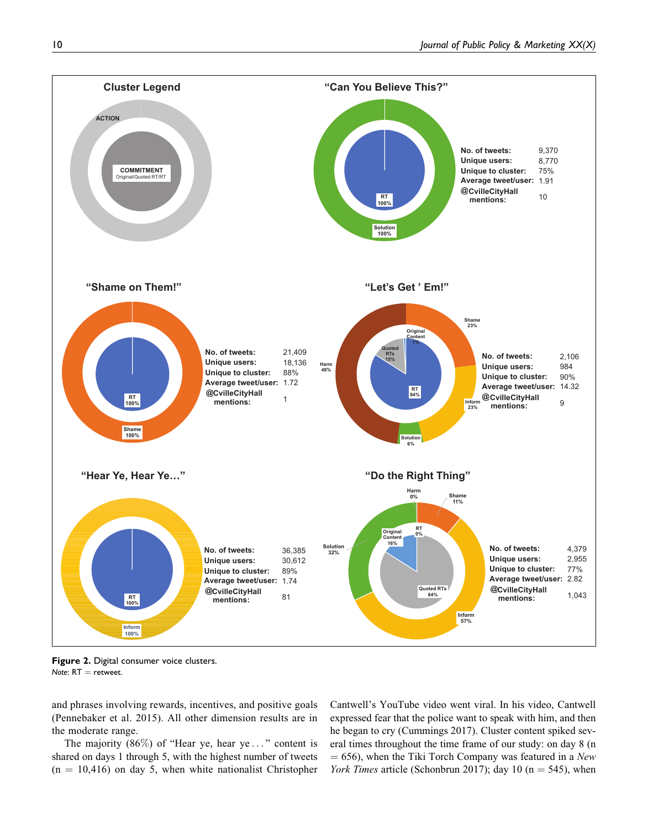

Figure 2. Digital consumer voice clusters. Note:  $RT =$  retweet.

and phrases involving rewards, incentives, and positive goals (Pennebaker et al. 2015). All other dimension results are in the moderate range.

The majority  $(86\%)$  of "Hear ye, hear ye..." content is shared on days 1 through 5, with the highest number of tweets  $(n = 10,416)$  on day 5, when white nationalist Christopher

Cantwell's YouTube video went viral. In his video, Cantwell expressed fear that the police want to speak with him, and then he began to cry (Cummings 2017). Cluster content spiked several times throughout the time frame of our study: on day 8 (n  $= 656$ ), when the Tiki Torch Company was featured in a New York Times article (Schonbrun 2017); day 10 ( $n = 545$ ), when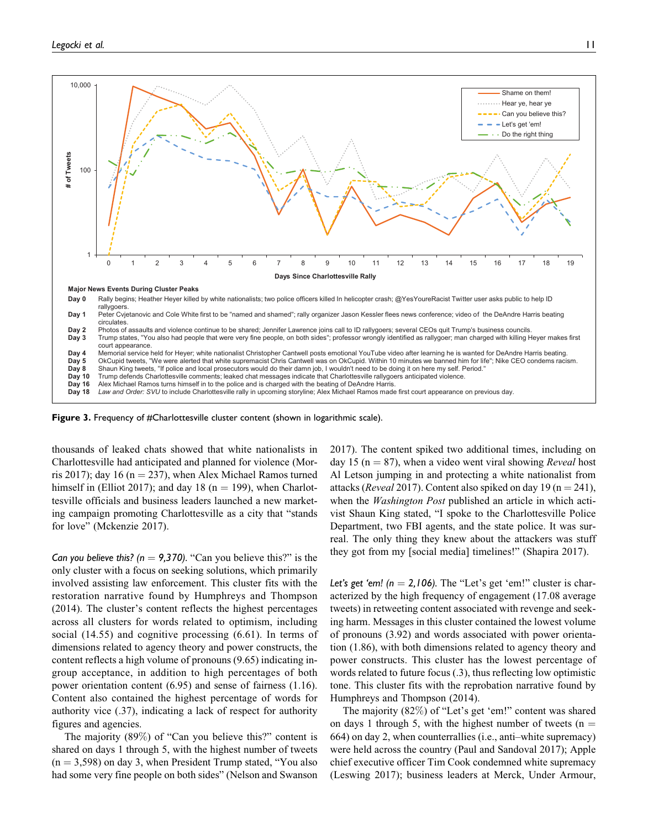

Figure 3. Frequency of #Charlottesville cluster content (shown in logarithmic scale).

thousands of leaked chats showed that white nationalists in Charlottesville had anticipated and planned for violence (Morris 2017); day 16 ( $n = 237$ ), when Alex Michael Ramos turned himself in (Elliot 2017); and day 18 ( $n = 199$ ), when Charlottesville officials and business leaders launched a new marketing campaign promoting Charlottesville as a city that "stands for love" (Mckenzie 2017).

Can you believe this? ( $n = 9,370$ ). "Can you believe this?" is the only cluster with a focus on seeking solutions, which primarily involved assisting law enforcement. This cluster fits with the restoration narrative found by Humphreys and Thompson (2014). The cluster's content reflects the highest percentages across all clusters for words related to optimism, including social (14.55) and cognitive processing (6.61). In terms of dimensions related to agency theory and power constructs, the content reflects a high volume of pronouns (9.65) indicating ingroup acceptance, in addition to high percentages of both power orientation content (6.95) and sense of fairness (1.16). Content also contained the highest percentage of words for authority vice (.37), indicating a lack of respect for authority figures and agencies.

The majority (89%) of "Can you believe this?" content is shared on days 1 through 5, with the highest number of tweets  $(n = 3,598)$  on day 3, when President Trump stated, "You also had some very fine people on both sides" (Nelson and Swanson

2017). The content spiked two additional times, including on day 15 ( $n = 87$ ), when a video went viral showing *Reveal* host Al Letson jumping in and protecting a white nationalist from attacks (*Reveal* 2017). Content also spiked on day 19 ( $n = 241$ ), when the *Washington Post* published an article in which activist Shaun King stated, "I spoke to the Charlottesville Police Department, two FBI agents, and the state police. It was surreal. The only thing they knew about the attackers was stuff they got from my [social media] timelines!" (Shapira 2017).

Let's get 'em! ( $n = 2,106$ ). The "Let's get 'em!" cluster is characterized by the high frequency of engagement (17.08 average tweets) in retweeting content associated with revenge and seeking harm. Messages in this cluster contained the lowest volume of pronouns (3.92) and words associated with power orientation (1.86), with both dimensions related to agency theory and power constructs. This cluster has the lowest percentage of words related to future focus (.3), thus reflecting low optimistic tone. This cluster fits with the reprobation narrative found by Humphreys and Thompson (2014).

The majority (82%) of "Let's get 'em!" content was shared on days 1 through 5, with the highest number of tweets ( $n =$ 664) on day 2, when counterrallies (i.e., anti–white supremacy) were held across the country (Paul and Sandoval 2017); Apple chief executive officer Tim Cook condemned white supremacy (Leswing 2017); business leaders at Merck, Under Armour,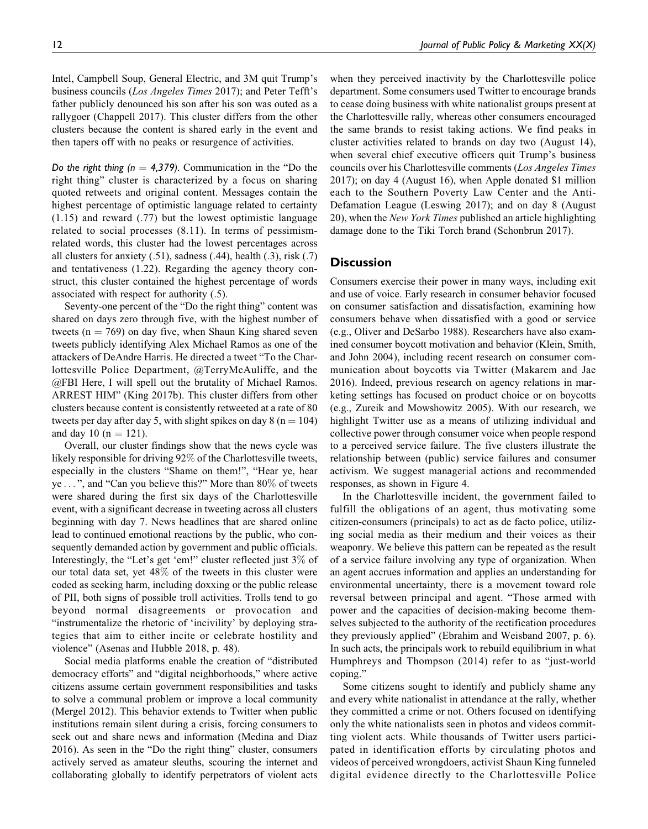Intel, Campbell Soup, General Electric, and 3M quit Trump's business councils (Los Angeles Times 2017); and Peter Tefft's father publicly denounced his son after his son was outed as a rallygoer (Chappell 2017). This cluster differs from the other clusters because the content is shared early in the event and then tapers off with no peaks or resurgence of activities.

Do the right thing ( $n = 4,379$ ). Communication in the "Do the right thing" cluster is characterized by a focus on sharing quoted retweets and original content. Messages contain the highest percentage of optimistic language related to certainty (1.15) and reward (.77) but the lowest optimistic language related to social processes (8.11). In terms of pessimismrelated words, this cluster had the lowest percentages across all clusters for anxiety  $(.51)$ , sadness  $(.44)$ , health  $(.3)$ , risk  $(.7)$ and tentativeness (1.22). Regarding the agency theory construct, this cluster contained the highest percentage of words associated with respect for authority (.5).

Seventy-one percent of the "Do the right thing" content was shared on days zero through five, with the highest number of tweets ( $n = 769$ ) on day five, when Shaun King shared seven tweets publicly identifying Alex Michael Ramos as one of the attackers of DeAndre Harris. He directed a tweet "To the Charlottesville Police Department, @TerryMcAuliffe, and the @FBI Here, I will spell out the brutality of Michael Ramos. ARREST HIM" (King 2017b). This cluster differs from other clusters because content is consistently retweeted at a rate of 80 tweets per day after day 5, with slight spikes on day 8 ( $n = 104$ ) and day 10 ( $n = 121$ ).

Overall, our cluster findings show that the news cycle was likely responsible for driving 92% of the Charlottesville tweets, especially in the clusters "Shame on them!", "Hear ye, hear ye ... ", and "Can you believe this?" More than 80% of tweets were shared during the first six days of the Charlottesville event, with a significant decrease in tweeting across all clusters beginning with day 7. News headlines that are shared online lead to continued emotional reactions by the public, who consequently demanded action by government and public officials. Interestingly, the "Let's get 'em!" cluster reflected just 3% of our total data set, yet 48% of the tweets in this cluster were coded as seeking harm, including doxxing or the public release of PII, both signs of possible troll activities. Trolls tend to go beyond normal disagreements or provocation and "instrumentalize the rhetoric of 'incivility' by deploying strategies that aim to either incite or celebrate hostility and violence" (Asenas and Hubble 2018, p. 48).

Social media platforms enable the creation of "distributed democracy efforts" and "digital neighborhoods," where active citizens assume certain government responsibilities and tasks to solve a communal problem or improve a local community (Mergel 2012). This behavior extends to Twitter when public institutions remain silent during a crisis, forcing consumers to seek out and share news and information (Medina and Diaz 2016). As seen in the "Do the right thing" cluster, consumers actively served as amateur sleuths, scouring the internet and collaborating globally to identify perpetrators of violent acts

when they perceived inactivity by the Charlottesville police department. Some consumers used Twitter to encourage brands to cease doing business with white nationalist groups present at the Charlottesville rally, whereas other consumers encouraged the same brands to resist taking actions. We find peaks in cluster activities related to brands on day two (August 14), when several chief executive officers quit Trump's business councils over his Charlottesville comments (Los Angeles Times 2017); on day 4 (August 16), when Apple donated \$1 million each to the Southern Poverty Law Center and the Anti-Defamation League (Leswing 2017); and on day 8 (August 20), when the New York Times published an article highlighting damage done to the Tiki Torch brand (Schonbrun 2017).

#### **Discussion**

Consumers exercise their power in many ways, including exit and use of voice. Early research in consumer behavior focused on consumer satisfaction and dissatisfaction, examining how consumers behave when dissatisfied with a good or service (e.g., Oliver and DeSarbo 1988). Researchers have also examined consumer boycott motivation and behavior (Klein, Smith, and John 2004), including recent research on consumer communication about boycotts via Twitter (Makarem and Jae 2016). Indeed, previous research on agency relations in marketing settings has focused on product choice or on boycotts (e.g., Zureik and Mowshowitz 2005). With our research, we highlight Twitter use as a means of utilizing individual and collective power through consumer voice when people respond to a perceived service failure. The five clusters illustrate the relationship between (public) service failures and consumer activism. We suggest managerial actions and recommended responses, as shown in Figure 4.

In the Charlottesville incident, the government failed to fulfill the obligations of an agent, thus motivating some citizen-consumers (principals) to act as de facto police, utilizing social media as their medium and their voices as their weaponry. We believe this pattern can be repeated as the result of a service failure involving any type of organization. When an agent accrues information and applies an understanding for environmental uncertainty, there is a movement toward role reversal between principal and agent. "Those armed with power and the capacities of decision-making become themselves subjected to the authority of the rectification procedures they previously applied" (Ebrahim and Weisband 2007, p. 6). In such acts, the principals work to rebuild equilibrium in what Humphreys and Thompson (2014) refer to as "just-world coping."

Some citizens sought to identify and publicly shame any and every white nationalist in attendance at the rally, whether they committed a crime or not. Others focused on identifying only the white nationalists seen in photos and videos committing violent acts. While thousands of Twitter users participated in identification efforts by circulating photos and videos of perceived wrongdoers, activist Shaun King funneled digital evidence directly to the Charlottesville Police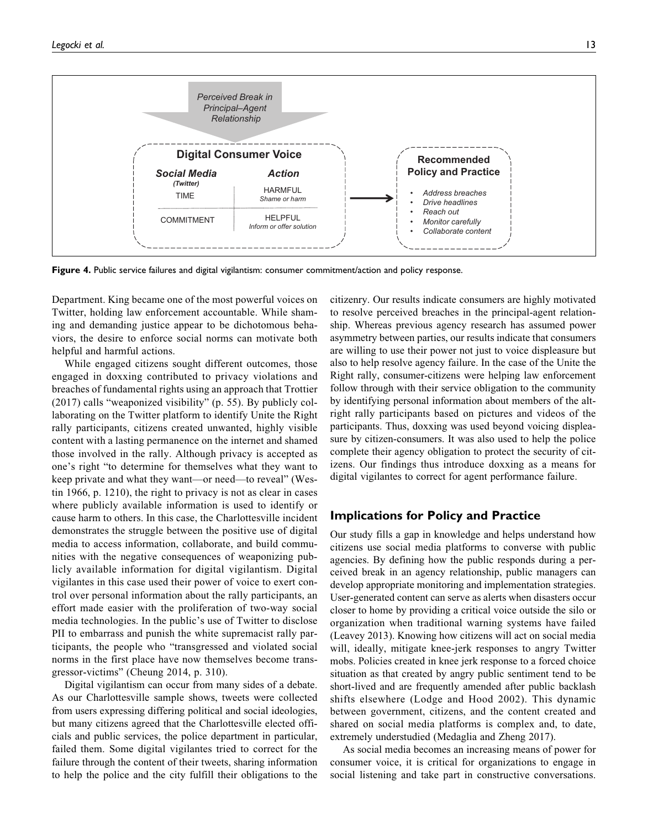

Figure 4. Public service failures and digital vigilantism: consumer commitment/action and policy response.

Department. King became one of the most powerful voices on Twitter, holding law enforcement accountable. While shaming and demanding justice appear to be dichotomous behaviors, the desire to enforce social norms can motivate both helpful and harmful actions.

While engaged citizens sought different outcomes, those engaged in doxxing contributed to privacy violations and breaches of fundamental rights using an approach that Trottier (2017) calls "weaponized visibility" (p. 55). By publicly collaborating on the Twitter platform to identify Unite the Right rally participants, citizens created unwanted, highly visible content with a lasting permanence on the internet and shamed those involved in the rally. Although privacy is accepted as one's right "to determine for themselves what they want to keep private and what they want—or need—to reveal" (Westin 1966, p. 1210), the right to privacy is not as clear in cases where publicly available information is used to identify or cause harm to others. In this case, the Charlottesville incident demonstrates the struggle between the positive use of digital media to access information, collaborate, and build communities with the negative consequences of weaponizing publicly available information for digital vigilantism. Digital vigilantes in this case used their power of voice to exert control over personal information about the rally participants, an effort made easier with the proliferation of two-way social media technologies. In the public's use of Twitter to disclose PII to embarrass and punish the white supremacist rally participants, the people who "transgressed and violated social norms in the first place have now themselves become transgressor-victims" (Cheung 2014, p. 310).

Digital vigilantism can occur from many sides of a debate. As our Charlottesville sample shows, tweets were collected from users expressing differing political and social ideologies, but many citizens agreed that the Charlottesville elected officials and public services, the police department in particular, failed them. Some digital vigilantes tried to correct for the failure through the content of their tweets, sharing information to help the police and the city fulfill their obligations to the citizenry. Our results indicate consumers are highly motivated to resolve perceived breaches in the principal-agent relationship. Whereas previous agency research has assumed power asymmetry between parties, our results indicate that consumers are willing to use their power not just to voice displeasure but also to help resolve agency failure. In the case of the Unite the Right rally, consumer-citizens were helping law enforcement follow through with their service obligation to the community by identifying personal information about members of the altright rally participants based on pictures and videos of the participants. Thus, doxxing was used beyond voicing displeasure by citizen-consumers. It was also used to help the police complete their agency obligation to protect the security of citizens. Our findings thus introduce doxxing as a means for digital vigilantes to correct for agent performance failure.

## Implications for Policy and Practice

Our study fills a gap in knowledge and helps understand how citizens use social media platforms to converse with public agencies. By defining how the public responds during a perceived break in an agency relationship, public managers can develop appropriate monitoring and implementation strategies. User-generated content can serve as alerts when disasters occur closer to home by providing a critical voice outside the silo or organization when traditional warning systems have failed (Leavey 2013). Knowing how citizens will act on social media will, ideally, mitigate knee-jerk responses to angry Twitter mobs. Policies created in knee jerk response to a forced choice situation as that created by angry public sentiment tend to be short-lived and are frequently amended after public backlash shifts elsewhere (Lodge and Hood 2002). This dynamic between government, citizens, and the content created and shared on social media platforms is complex and, to date, extremely understudied (Medaglia and Zheng 2017).

As social media becomes an increasing means of power for consumer voice, it is critical for organizations to engage in social listening and take part in constructive conversations.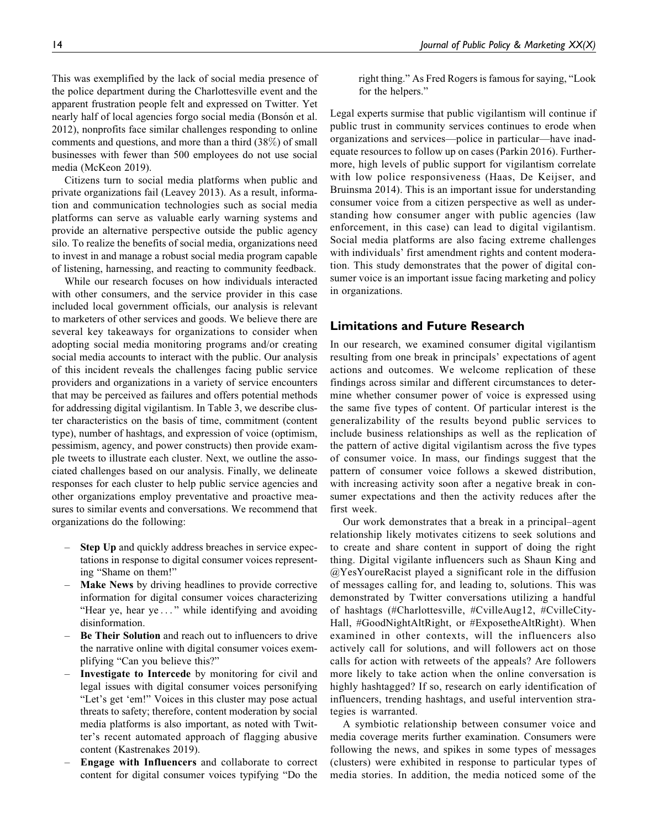This was exemplified by the lack of social media presence of the police department during the Charlottesville event and the apparent frustration people felt and expressed on Twitter. Yet nearly half of local agencies forgo social media (Bonsón et al. 2012), nonprofits face similar challenges responding to online comments and questions, and more than a third (38%) of small businesses with fewer than 500 employees do not use social media (McKeon 2019).

Citizens turn to social media platforms when public and private organizations fail (Leavey 2013). As a result, information and communication technologies such as social media platforms can serve as valuable early warning systems and provide an alternative perspective outside the public agency silo. To realize the benefits of social media, organizations need to invest in and manage a robust social media program capable of listening, harnessing, and reacting to community feedback.

While our research focuses on how individuals interacted with other consumers, and the service provider in this case included local government officials, our analysis is relevant to marketers of other services and goods. We believe there are several key takeaways for organizations to consider when adopting social media monitoring programs and/or creating social media accounts to interact with the public. Our analysis of this incident reveals the challenges facing public service providers and organizations in a variety of service encounters that may be perceived as failures and offers potential methods for addressing digital vigilantism. In Table 3, we describe cluster characteristics on the basis of time, commitment (content type), number of hashtags, and expression of voice (optimism, pessimism, agency, and power constructs) then provide example tweets to illustrate each cluster. Next, we outline the associated challenges based on our analysis. Finally, we delineate responses for each cluster to help public service agencies and other organizations employ preventative and proactive measures to similar events and conversations. We recommend that organizations do the following:

- Step Up and quickly address breaches in service expectations in response to digital consumer voices representing "Shame on them!"
- Make News by driving headlines to provide corrective information for digital consumer voices characterizing "Hear ye, hear ye ... " while identifying and avoiding disinformation.
- Be Their Solution and reach out to influencers to drive the narrative online with digital consumer voices exemplifying "Can you believe this?"
- Investigate to Intercede by monitoring for civil and legal issues with digital consumer voices personifying "Let's get 'em!" Voices in this cluster may pose actual threats to safety; therefore, content moderation by social media platforms is also important, as noted with Twitter's recent automated approach of flagging abusive content (Kastrenakes 2019).
- Engage with Influencers and collaborate to correct content for digital consumer voices typifying "Do the

right thing." As Fred Rogers is famous for saying, "Look for the helpers."

Legal experts surmise that public vigilantism will continue if public trust in community services continues to erode when organizations and services—police in particular—have inadequate resources to follow up on cases (Parkin 2016). Furthermore, high levels of public support for vigilantism correlate with low police responsiveness (Haas, De Keijser, and Bruinsma 2014). This is an important issue for understanding consumer voice from a citizen perspective as well as understanding how consumer anger with public agencies (law enforcement, in this case) can lead to digital vigilantism. Social media platforms are also facing extreme challenges with individuals' first amendment rights and content moderation. This study demonstrates that the power of digital consumer voice is an important issue facing marketing and policy in organizations.

## Limitations and Future Research

In our research, we examined consumer digital vigilantism resulting from one break in principals' expectations of agent actions and outcomes. We welcome replication of these findings across similar and different circumstances to determine whether consumer power of voice is expressed using the same five types of content. Of particular interest is the generalizability of the results beyond public services to include business relationships as well as the replication of the pattern of active digital vigilantism across the five types of consumer voice. In mass, our findings suggest that the pattern of consumer voice follows a skewed distribution, with increasing activity soon after a negative break in consumer expectations and then the activity reduces after the first week.

Our work demonstrates that a break in a principal–agent relationship likely motivates citizens to seek solutions and to create and share content in support of doing the right thing. Digital vigilante influencers such as Shaun King and @YesYoureRacist played a significant role in the diffusion of messages calling for, and leading to, solutions. This was demonstrated by Twitter conversations utilizing a handful of hashtags (#Charlottesville, #CvilleAug12, #CvilleCity-Hall, #GoodNightAltRight, or #ExposetheAltRight). When examined in other contexts, will the influencers also actively call for solutions, and will followers act on those calls for action with retweets of the appeals? Are followers more likely to take action when the online conversation is highly hashtagged? If so, research on early identification of influencers, trending hashtags, and useful intervention strategies is warranted.

A symbiotic relationship between consumer voice and media coverage merits further examination. Consumers were following the news, and spikes in some types of messages (clusters) were exhibited in response to particular types of media stories. In addition, the media noticed some of the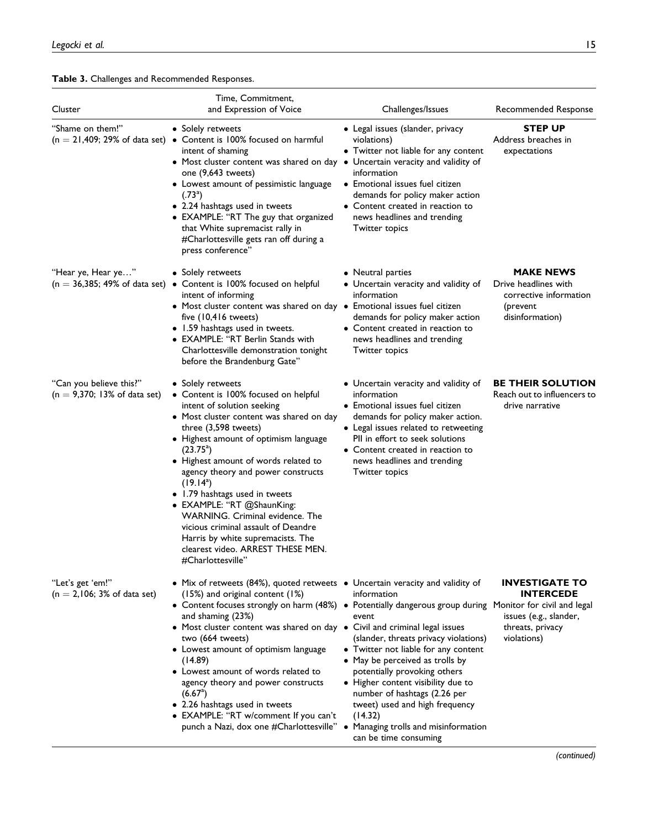#### Table 3. Challenges and Recommended Responses.

| Cluster                                                   | Time, Commitment,<br>and Expression of Voice                                                                                                                                                                                                                                                                                                                                                                                                                                                                                                                                                                                                                                | Challenges/Issues                                                                                                                                                                                                                                                                                                    | Recommended Response                                                                                   |
|-----------------------------------------------------------|-----------------------------------------------------------------------------------------------------------------------------------------------------------------------------------------------------------------------------------------------------------------------------------------------------------------------------------------------------------------------------------------------------------------------------------------------------------------------------------------------------------------------------------------------------------------------------------------------------------------------------------------------------------------------------|----------------------------------------------------------------------------------------------------------------------------------------------------------------------------------------------------------------------------------------------------------------------------------------------------------------------|--------------------------------------------------------------------------------------------------------|
| "Shame on them!"                                          | • Solely retweets<br>$(n = 21,409; 29\%)$ of data set) • Content is 100% focused on harmful<br>intent of shaming<br>• Most cluster content was shared on day • Uncertain veracity and validity of<br>one (9,643 tweets)<br>• Lowest amount of pessimistic language<br>$(.73^a)$<br>• 2.24 hashtags used in tweets<br>• EXAMPLE: "RT The guy that organized<br>that White supremacist rally in<br>#Charlottesville gets ran off during a<br>press conference"                                                                                                                                                                                                                | • Legal issues (slander, privacy<br>violations)<br>• Twitter not liable for any content<br>information<br>• Emotional issues fuel citizen<br>demands for policy maker action<br>• Content created in reaction to<br>news headlines and trending<br><b>Twitter topics</b>                                             | <b>STEP UP</b><br>Address breaches in<br>expectations                                                  |
| "Hear ye, Hear ye…"                                       | • Solely retweets<br>$(n = 36,385; 49\%)$ of data set) • Content is 100% focused on helpful<br>intent of informing<br>• Most cluster content was shared on day • Emotional issues fuel citizen<br>five (10,416 tweets)<br>• 1.59 hashtags used in tweets.<br>• EXAMPLE: "RT Berlin Stands with<br>Charlottesville demonstration tonight<br>before the Brandenburg Gate"                                                                                                                                                                                                                                                                                                     | • Neutral parties<br>• Uncertain veracity and validity of<br>information<br>demands for policy maker action<br>• Content created in reaction to<br>news headlines and trending<br><b>Twitter topics</b>                                                                                                              | <b>MAKE NEWS</b><br>Drive headlines with<br>corrective information<br>(prevent<br>disinformation)      |
| "Can you believe this?"<br>$(n = 9,370; 13%$ of data set) | • Solely retweets<br>• Content is 100% focused on helpful<br>intent of solution seeking<br>• Most cluster content was shared on day<br>three $(3,598$ tweets)<br>• Highest amount of optimism language<br>$(23.75^{\circ})$<br>• Highest amount of words related to<br>agency theory and power constructs<br>$(19.14^a)$<br>• 1.79 hashtags used in tweets<br>• EXAMPLE: "RT @ShaunKing:<br><b>WARNING.</b> Criminal evidence. The<br>vicious criminal assault of Deandre<br>Harris by white supremacists. The<br>clearest video. ARREST THESE MEN.<br>#Charlottesville"                                                                                                    | • Uncertain veracity and validity of<br>information<br>• Emotional issues fuel citizen<br>demands for policy maker action.<br>• Legal issues related to retweeting<br>PII in effort to seek solutions<br>• Content created in reaction to<br>news headlines and trending<br><b>Twitter topics</b>                    | <b>BE THEIR SOLUTION</b><br>Reach out to influencers to<br>drive narrative                             |
| "Let's get 'em!"<br>$(n = 2,106; 3%$ of data set)         | • Mix of retweets (84%), quoted retweets • Uncertain veracity and validity of<br>$(15%)$ and original content $(1%)$<br>• Content focuses strongly on harm (48%) • Potentially dangerous group during Monitor for civil and legal<br>and shaming (23%)<br>• Most cluster content was shared on day • Civil and criminal legal issues<br>two (664 tweets)<br>• Lowest amount of optimism language<br>(14.89)<br>• Lowest amount of words related to<br>agency theory and power constructs<br>(6.67 <sup>a</sup> )<br>• 2.26 hashtags used in tweets<br>• EXAMPLE: "RT w/comment If you can't<br>punch a Nazi, dox one #Charlottesville" • Managing trolls and misinformation | information<br>event<br>(slander, threats privacy violations)<br>• Twitter not liable for any content<br>• May be perceived as trolls by<br>potentially provoking others<br>• Higher content visibility due to<br>number of hashtags (2.26 per<br>tweet) used and high frequency<br>(14.32)<br>can be time consuming | <b>INVESTIGATE TO</b><br><b>INTERCEDE</b><br>issues (e.g., slander,<br>threats, privacy<br>violations) |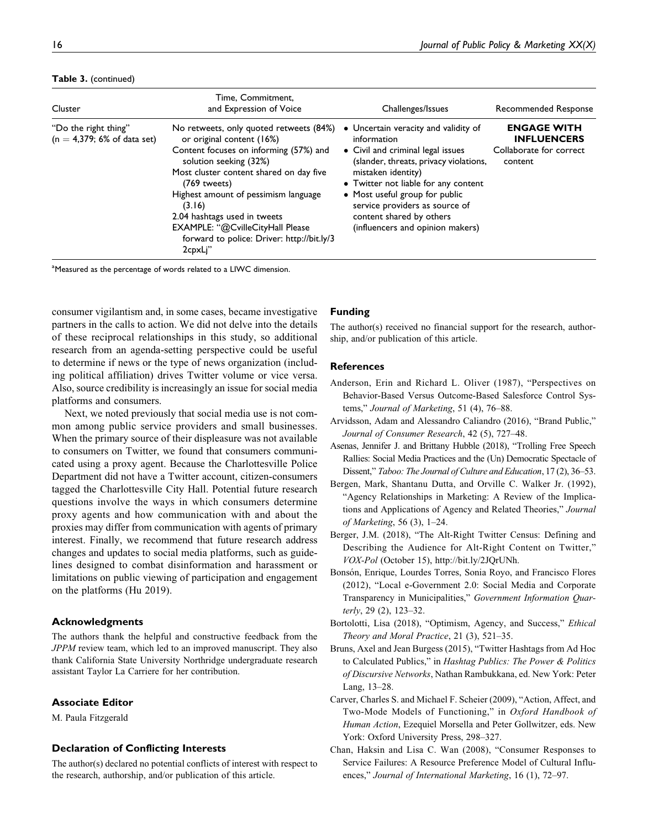#### Table 3. (continued)

| Cluster                                               | Time. Commitment.<br>and Expression of Voice                                                                                                                                                                                                                                                                                                                                       | Challenges/Issues                                                                                                                                                                                                                                                                                                                    | Recommended Response                                                           |
|-------------------------------------------------------|------------------------------------------------------------------------------------------------------------------------------------------------------------------------------------------------------------------------------------------------------------------------------------------------------------------------------------------------------------------------------------|--------------------------------------------------------------------------------------------------------------------------------------------------------------------------------------------------------------------------------------------------------------------------------------------------------------------------------------|--------------------------------------------------------------------------------|
| "Do the right thing"<br>$(n = 4,379; 6%$ of data set) | No retweets, only quoted retweets (84%)<br>or original content (16%)<br>Content focuses on informing (57%) and<br>solution seeking (32%)<br>Most cluster content shared on day five<br>(769 tweets)<br>Highest amount of pessimism language<br>(3.16)<br>2.04 hashtags used in tweets<br>EXAMPLE: "@CvilleCityHall Please<br>forward to police: Driver: http://bit.ly/3<br>2cpxLi" | • Uncertain veracity and validity of<br>information<br>• Civil and criminal legal issues<br>(slander, threats, privacy violations,<br>mistaken identity)<br>• Twitter not liable for any content<br>• Most useful group for public<br>service providers as source of<br>content shared by others<br>(influencers and opinion makers) | <b>ENGAGE WITH</b><br><b>INFLUENCERS</b><br>Collaborate for correct<br>content |

<sup>a</sup>Measured as the percentage of words related to a LIWC dimension.

consumer vigilantism and, in some cases, became investigative partners in the calls to action. We did not delve into the details of these reciprocal relationships in this study, so additional research from an agenda-setting perspective could be useful to determine if news or the type of news organization (including political affiliation) drives Twitter volume or vice versa. Also, source credibility is increasingly an issue for social media platforms and consumers.

Next, we noted previously that social media use is not common among public service providers and small businesses. When the primary source of their displeasure was not available to consumers on Twitter, we found that consumers communicated using a proxy agent. Because the Charlottesville Police Department did not have a Twitter account, citizen-consumers tagged the Charlottesville City Hall. Potential future research questions involve the ways in which consumers determine proxy agents and how communication with and about the proxies may differ from communication with agents of primary interest. Finally, we recommend that future research address changes and updates to social media platforms, such as guidelines designed to combat disinformation and harassment or limitations on public viewing of participation and engagement on the platforms (Hu 2019).

#### Acknowledgments

The authors thank the helpful and constructive feedback from the JPPM review team, which led to an improved manuscript. They also thank California State University Northridge undergraduate research assistant Taylor La Carriere for her contribution.

#### Associate Editor

M. Paula Fitzgerald

#### Declaration of Conflicting Interests

The author(s) declared no potential conflicts of interest with respect to the research, authorship, and/or publication of this article.

#### Funding

The author(s) received no financial support for the research, authorship, and/or publication of this article.

#### References

- Anderson, Erin and Richard L. Oliver (1987), "Perspectives on Behavior-Based Versus Outcome-Based Salesforce Control Systems," Journal of Marketing, 51 (4), 76-88.
- Arvidsson, Adam and Alessandro Caliandro (2016), "Brand Public," Journal of Consumer Research, 42 (5), 727–48.
- Asenas, Jennifer J. and Brittany Hubble (2018), "Trolling Free Speech Rallies: Social Media Practices and the (Un) Democratic Spectacle of Dissent," Taboo: The Journal of Culture and Education, 17 (2), 36-53.
- Bergen, Mark, Shantanu Dutta, and Orville C. Walker Jr. (1992), "Agency Relationships in Marketing: A Review of the Implications and Applications of Agency and Related Theories," Journal of Marketing, 56 (3), 1–24.
- Berger, J.M. (2018), "The Alt-Right Twitter Census: Defining and Describing the Audience for Alt-Right Content on Twitter," VOX-Pol (October 15), [http://bit.ly/2JQrUNh.](http://bit.ly/2JQrUNh)
- Bonsón, Enrique, Lourdes Torres, Sonia Royo, and Francisco Flores (2012), "Local e-Government 2.0: Social Media and Corporate Transparency in Municipalities," Government Information Quarterly, 29 (2), 123–32.
- Bortolotti, Lisa (2018), "Optimism, Agency, and Success," Ethical Theory and Moral Practice, 21 (3), 521–35.
- Bruns, Axel and Jean Burgess (2015), "Twitter Hashtags from Ad Hoc to Calculated Publics," in Hashtag Publics: The Power & Politics of Discursive Networks, Nathan Rambukkana, ed. New York: Peter Lang, 13–28.
- Carver, Charles S. and Michael F. Scheier (2009), "Action, Affect, and Two-Mode Models of Functioning," in Oxford Handbook of Human Action, Ezequiel Morsella and Peter Gollwitzer, eds. New York: Oxford University Press, 298–327.
- Chan, Haksin and Lisa C. Wan (2008), "Consumer Responses to Service Failures: A Resource Preference Model of Cultural Influences," Journal of International Marketing, 16 (1), 72–97.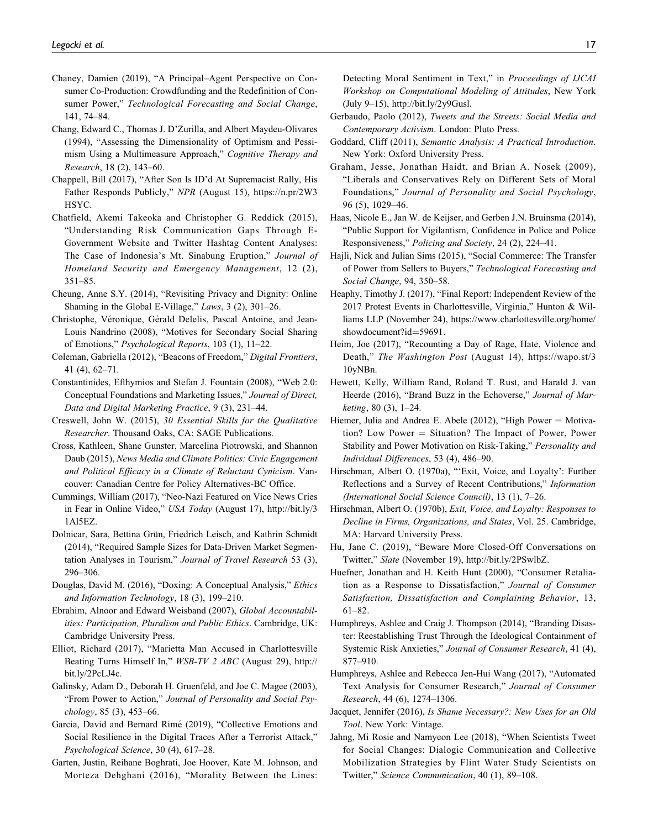- Chaney, Damien (2019), "A Principal–Agent Perspective on Consumer Co-Production: Crowdfunding and the Redefinition of Consumer Power," Technological Forecasting and Social Change, 141, 74–84.
- Chang, Edward C., Thomas J. D'Zurilla, and Albert Maydeu-Olivares (1994), "Assessing the Dimensionality of Optimism and Pessimism Using a Multimeasure Approach," Cognitive Therapy and Research, 18 (2), 143–60.
- Chappell, Bill (2017), "After Son Is ID'd At Supremacist Rally, His Father Responds Publicly," NPR (August 15), [https://n.pr/2W3](https://n.pr/2W3HSYC) [HSYC.](https://n.pr/2W3HSYC)
- Chatfield, Akemi Takeoka and Christopher G. Reddick (2015), "Understanding Risk Communication Gaps Through E-Government Website and Twitter Hashtag Content Analyses: The Case of Indonesia's Mt. Sinabung Eruption," Journal of Homeland Security and Emergency Management, 12 (2), 351–85.
- Cheung, Anne S.Y. (2014), "Revisiting Privacy and Dignity: Online Shaming in the Global E-Village," Laws, 3 (2), 301–26.
- Christophe, Véronique, Gérald Delelis, Pascal Antoine, and Jean-Louis Nandrino (2008), "Motives for Secondary Social Sharing of Emotions," Psychological Reports, 103 (1), 11–22.
- Coleman, Gabriella (2012), "Beacons of Freedom," Digital Frontiers, 41 (4), 62–71.
- Constantinides, Efthymios and Stefan J. Fountain (2008), "Web 2.0: Conceptual Foundations and Marketing Issues," Journal of Direct, Data and Digital Marketing Practice, 9 (3), 231–44.
- Creswell, John W. (2015), 30 Essential Skills for the Qualitative Researcher. Thousand Oaks, CA: SAGE Publications.
- Cross, Kathleen, Shane Gunster, Marcelina Piotrowski, and Shannon Daub (2015), News Media and Climate Politics: Civic Engagement and Political Efficacy in a Climate of Reluctant Cynicism. Vancouver: Canadian Centre for Policy Alternatives-BC Office.
- Cummings, William (2017), "Neo-Nazi Featured on Vice News Cries in Fear in Online Video," USA Today (August 17), [http://bit.ly/3](http://bit.ly/31Al5EZ) [1Al5EZ.](http://bit.ly/31Al5EZ)
- Dolnicar, Sara, Bettina Grün, Friedrich Leisch, and Kathrin Schmidt (2014), "Required Sample Sizes for Data-Driven Market Segmentation Analyses in Tourism," Journal of Travel Research 53 (3), 296–306.
- Douglas, David M. (2016), "Doxing: A Conceptual Analysis," Ethics and Information Technology, 18 (3), 199–210.
- Ebrahim, Alnoor and Edward Weisband (2007), Global Accountabilities: Participation, Pluralism and Public Ethics. Cambridge, UK: Cambridge University Press.
- Elliot, Richard (2017), "Marietta Man Accused in Charlottesville Beating Turns Himself In," WSB-TV 2 ABC (August 29), [http://](http://bit.ly/2PcLJ4c) [bit.ly/2PcLJ4c](http://bit.ly/2PcLJ4c).
- Galinsky, Adam D., Deborah H. Gruenfeld, and Joe C. Magee (2003), "From Power to Action," Journal of Personality and Social Psychology, 85 (3), 453–66.
- Garcia, David and Bernard Rimé (2019), "Collective Emotions and Social Resilience in the Digital Traces After a Terrorist Attack," Psychological Science, 30 (4), 617–28.
- Garten, Justin, Reihane Boghrati, Joe Hoover, Kate M. Johnson, and Morteza Dehghani (2016), "Morality Between the Lines:

Detecting Moral Sentiment in Text," in Proceedings of IJCAI Workshop on Computational Modeling of Attitudes, New York (July 9–15),<http://bit.ly/2y9Gusl.>

- Gerbaudo, Paolo (2012), Tweets and the Streets: Social Media and Contemporary Activism. London: Pluto Press.
- Goddard, Cliff (2011), Semantic Analysis: A Practical Introduction. New York: Oxford University Press.
- Graham, Jesse, Jonathan Haidt, and Brian A. Nosek (2009), "Liberals and Conservatives Rely on Different Sets of Moral Foundations," Journal of Personality and Social Psychology, 96 (5), 1029–46.
- Haas, Nicole E., Jan W. de Keijser, and Gerben J.N. Bruinsma (2014), "Public Support for Vigilantism, Confidence in Police and Police Responsiveness," Policing and Society, 24 (2), 224–41.
- Hajli, Nick and Julian Sims (2015), "Social Commerce: The Transfer of Power from Sellers to Buyers," Technological Forecasting and Social Change, 94, 350–58.
- Heaphy, Timothy J. (2017), "Final Report: Independent Review of the 2017 Protest Events in Charlottesville, Virginia," Hunton & Williams LLP (November 24), [https://www.charlottesville.org/home/](https://www.charlottesville.org/home/showdocument?id=59691) [showdocument?id](https://www.charlottesville.org/home/showdocument?id=59691)=[59691.](https://www.charlottesville.org/home/showdocument?id=59691)
- Heim, Joe (2017), "Recounting a Day of Rage, Hate, Violence and Death," The Washington Post (August 14), [https://wapo.st/3](https://wapo.st/310yNBn) [10yNBn](https://wapo.st/310yNBn).
- Hewett, Kelly, William Rand, Roland T. Rust, and Harald J. van Heerde (2016), "Brand Buzz in the Echoverse," Journal of Marketing, 80 (3), 1–24.
- Hiemer, Julia and Andrea E. Abele (2012), "High Power = Motivation? Low Power  $=$  Situation? The Impact of Power, Power Stability and Power Motivation on Risk-Taking," Personality and Individual Differences, 53 (4), 486–90.
- Hirschman, Albert O. (1970a), "'Exit, Voice, and Loyalty': Further Reflections and a Survey of Recent Contributions," Information (International Social Science Council), 13 (1), 7–26.
- Hirschman, Albert O. (1970b), Exit, Voice, and Loyalty: Responses to Decline in Firms, Organizations, and States, Vol. 25. Cambridge, MA: Harvard University Press.
- Hu, Jane C. (2019), "Beware More Closed-Off Conversations on Twitter," Slate (November 19), [http://bit.ly/2PSwlbZ.](http://bit.ly/2PSwlbZ)
- Huefner, Jonathan and H. Keith Hunt (2000), "Consumer Retaliation as a Response to Dissatisfaction," Journal of Consumer Satisfaction, Dissatisfaction and Complaining Behavior, 13, 61–82.
- Humphreys, Ashlee and Craig J. Thompson (2014), "Branding Disaster: Reestablishing Trust Through the Ideological Containment of Systemic Risk Anxieties," Journal of Consumer Research, 41 (4), 877–910.
- Humphreys, Ashlee and Rebecca Jen-Hui Wang (2017), "Automated Text Analysis for Consumer Research," Journal of Consumer Research, 44 (6), 1274–1306.
- Jacquet, Jennifer (2016), Is Shame Necessary?: New Uses for an Old Tool. New York: Vintage.
- Jahng, Mi Rosie and Namyeon Lee (2018), "When Scientists Tweet for Social Changes: Dialogic Communication and Collective Mobilization Strategies by Flint Water Study Scientists on Twitter," Science Communication, 40 (1), 89–108.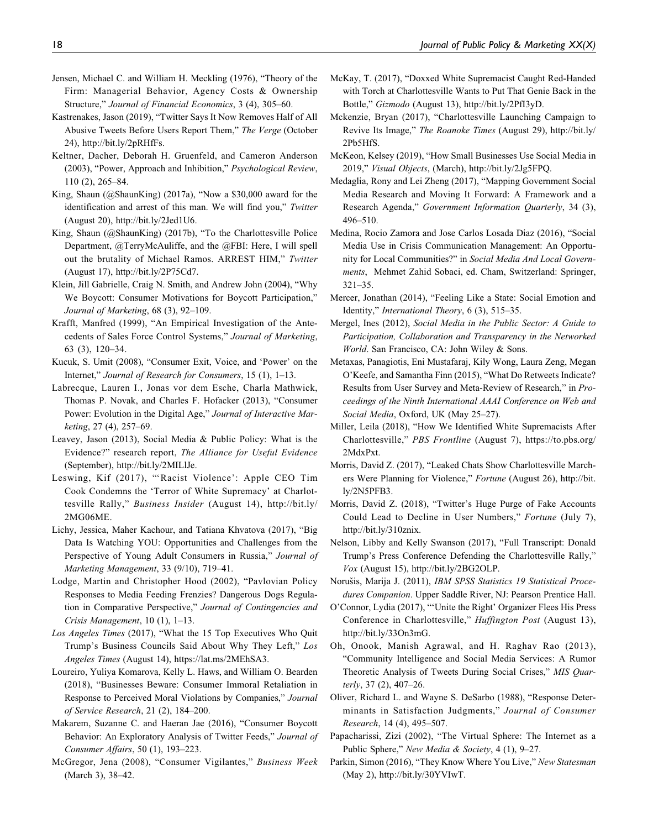- Jensen, Michael C. and William H. Meckling (1976), "Theory of the Firm: Managerial Behavior, Agency Costs & Ownership Structure," Journal of Financial Economics, 3 (4), 305–60.
- Kastrenakes, Jason (2019), "Twitter Says It Now Removes Half of All Abusive Tweets Before Users Report Them," The Verge (October 24),<http://bit.ly/2pRHfFs>.
- Keltner, Dacher, Deborah H. Gruenfeld, and Cameron Anderson (2003), "Power, Approach and Inhibition," Psychological Review, 110 (2), 265–84.
- King, Shaun (@ShaunKing) (2017a), "Now a \$30,000 award for the identification and arrest of this man. We will find you," Twitter (August 20),<http://bit.ly/2Jed1U6>.
- King, Shaun (@ShaunKing) (2017b), "To the Charlottesville Police Department, @TerryMcAuliffe, and the @FBI: Here, I will spell out the brutality of Michael Ramos. ARREST HIM," Twitter (August 17), [http://bit.ly/2P75Cd7.](http://bit.ly/2P75Cd7)
- Klein, Jill Gabrielle, Craig N. Smith, and Andrew John (2004), "Why We Boycott: Consumer Motivations for Boycott Participation," Journal of Marketing, 68 (3), 92–109.
- Krafft, Manfred (1999), "An Empirical Investigation of the Antecedents of Sales Force Control Systems," Journal of Marketing, 63 (3), 120–34.
- Kucuk, S. Umit (2008), "Consumer Exit, Voice, and 'Power' on the Internet," Journal of Research for Consumers, 15 (1), 1–13.
- Labrecque, Lauren I., Jonas vor dem Esche, Charla Mathwick, Thomas P. Novak, and Charles F. Hofacker (2013), "Consumer Power: Evolution in the Digital Age," Journal of Interactive Marketing, 27 (4), 257–69.
- Leavey, Jason (2013), Social Media & Public Policy: What is the Evidence?" research report, The Alliance for Useful Evidence (September),<http://bit.ly/2MILlJe.>
- Leswing, Kif (2017), "'Racist Violence': Apple CEO Tim Cook Condemns the 'Terror of White Supremacy' at Charlottesville Rally," Business Insider (August 14), [http://bit.ly/](http://bit.ly/2MG06ME.) [2MG06ME.](http://bit.ly/2MG06ME.)
- Lichy, Jessica, Maher Kachour, and Tatiana Khvatova (2017), "Big Data Is Watching YOU: Opportunities and Challenges from the Perspective of Young Adult Consumers in Russia," Journal of Marketing Management, 33 (9/10), 719–41.
- Lodge, Martin and Christopher Hood (2002), "Pavlovian Policy Responses to Media Feeding Frenzies? Dangerous Dogs Regulation in Comparative Perspective," Journal of Contingencies and Crisis Management, 10 (1), 1–13.
- Los Angeles Times (2017), "What the 15 Top Executives Who Quit Trump's Business Councils Said About Why They Left," Los Angeles Times (August 14),<https://lat.ms/2MEhSA3>.
- Loureiro, Yuliya Komarova, Kelly L. Haws, and William O. Bearden (2018), "Businesses Beware: Consumer Immoral Retaliation in Response to Perceived Moral Violations by Companies," Journal of Service Research, 21 (2), 184–200.
- Makarem, Suzanne C. and Haeran Jae (2016), "Consumer Boycott Behavior: An Exploratory Analysis of Twitter Feeds," Journal of Consumer Affairs, 50 (1), 193–223.
- McGregor, Jena (2008), "Consumer Vigilantes," Business Week (March 3), 38–42.
- McKay, T. (2017), "Doxxed White Supremacist Caught Red-Handed with Torch at Charlottesville Wants to Put That Genie Back in the Bottle," Gizmodo (August 13), [http://bit.ly/2PfI3yD.](http://bit.ly/2PfI3yD)
- Mckenzie, Bryan (2017), "Charlottesville Launching Campaign to Revive Its Image," The Roanoke Times (August 29), [http://bit.ly/](http://bit.ly/2Pb5HfS) [2Pb5HfS.](http://bit.ly/2Pb5HfS)
- McKeon, Kelsey (2019), "How Small Businesses Use Social Media in 2019," Visual Objects, (March),<http://bit.ly/2Jg5FPQ>.
- Medaglia, Rony and Lei Zheng (2017), "Mapping Government Social Media Research and Moving It Forward: A Framework and a Research Agenda," Government Information Quarterly, 34 (3), 496–510.
- Medina, Rocio Zamora and Jose Carlos Losada Diaz (2016), "Social Media Use in Crisis Communication Management: An Opportunity for Local Communities?" in Social Media And Local Governments, Mehmet Zahid Sobaci, ed. Cham, Switzerland: Springer, 321–35.
- Mercer, Jonathan (2014), "Feeling Like a State: Social Emotion and Identity," International Theory, 6 (3), 515–35.
- Mergel, Ines (2012), Social Media in the Public Sector: A Guide to Participation, Collaboration and Transparency in the Networked World. San Francisco, CA: John Wiley & Sons.
- Metaxas, Panagiotis, Eni Mustafaraj, Kily Wong, Laura Zeng, Megan O'Keefe, and Samantha Finn (2015), "What Do Retweets Indicate? Results from User Survey and Meta-Review of Research," in Proceedings of the Ninth International AAAI Conference on Web and Social Media, Oxford, UK (May 25–27).
- Miller, Leila (2018), "How We Identified White Supremacists After Charlottesville," PBS Frontline (August 7), [https://to.pbs.org/](https://to.pbs.org/2MdxPxt) [2MdxPxt](https://to.pbs.org/2MdxPxt).
- Morris, David Z. (2017), "Leaked Chats Show Charlottesville Marchers Were Planning for Violence," Fortune (August 26), [http://bit.](http://bit.ly/2N5PFB3) [ly/2N5PFB3](http://bit.ly/2N5PFB3).
- Morris, David Z. (2018), "Twitter's Huge Purge of Fake Accounts Could Lead to Decline in User Numbers," Fortune (July 7), [http://bit.ly/310znix.](http://bit.ly/310znix)
- Nelson, Libby and Kelly Swanson (2017), "Full Transcript: Donald Trump's Press Conference Defending the Charlottesville Rally," Vox (August 15),<http://bit.ly/2BG2OLP>.
- Norušis, Marija J. (2011), IBM SPSS Statistics 19 Statistical Procedures Companion. Upper Saddle River, NJ: Pearson Prentice Hall.
- O'Connor, Lydia (2017), "'Unite the Right' Organizer Flees His Press Conference in Charlottesville," Huffington Post (August 13), <http://bit.ly/33On3mG.>
- Oh, Onook, Manish Agrawal, and H. Raghav Rao (2013), "Community Intelligence and Social Media Services: A Rumor Theoretic Analysis of Tweets During Social Crises," MIS Quarterly, 37 (2), 407–26.
- Oliver, Richard L. and Wayne S. DeSarbo (1988), "Response Determinants in Satisfaction Judgments," Journal of Consumer Research, 14 (4), 495–507.
- Papacharissi, Zizi (2002), "The Virtual Sphere: The Internet as a Public Sphere," New Media & Society, 4 (1), 9-27.
- Parkin, Simon (2016), "They Know Where You Live," New Statesman (May 2),<http://bit.ly/30YVIwT>.